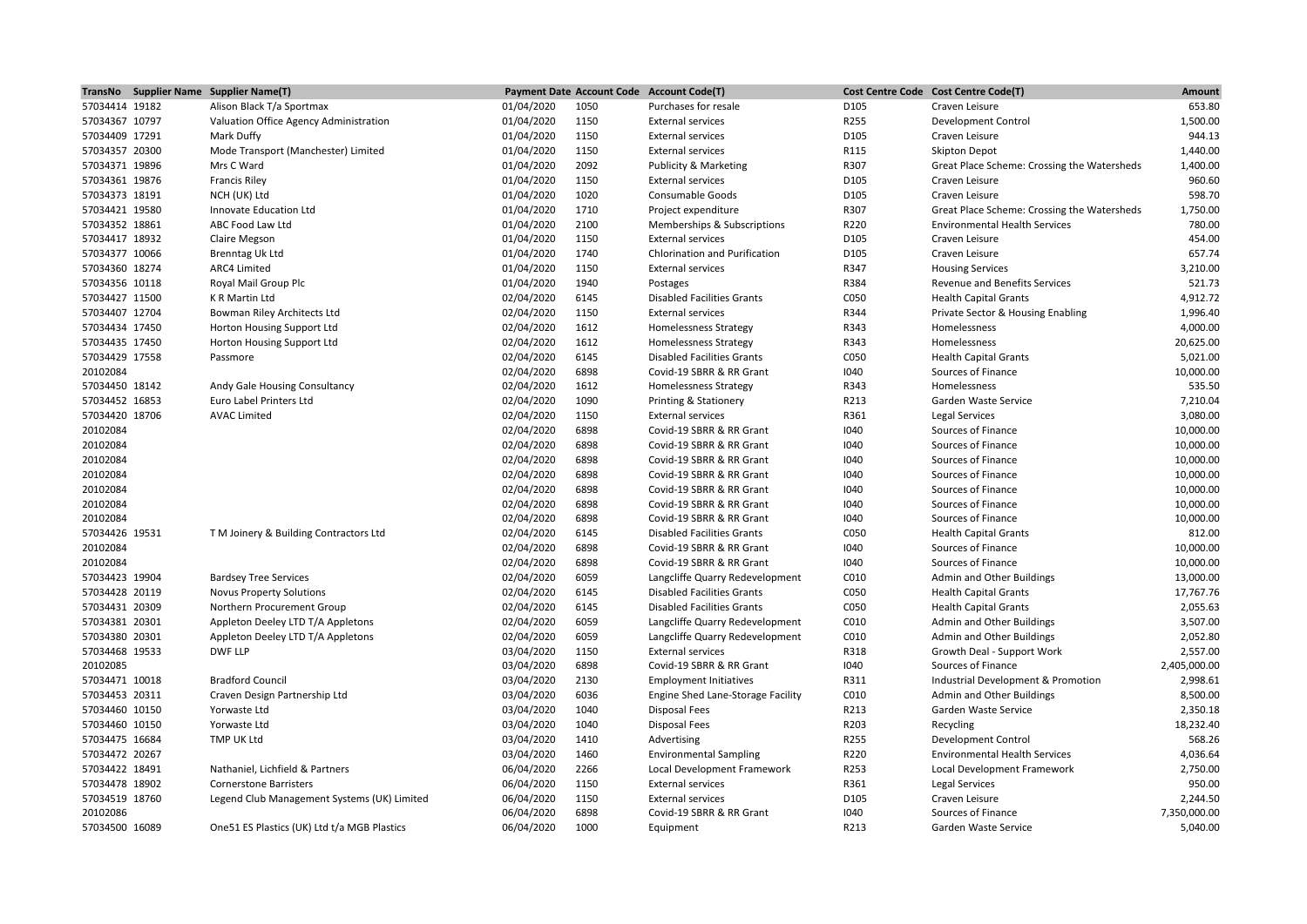|                | TransNo Supplier Name Supplier Name(T)       |            |      | Payment Date Account Code Account Code(T) |      | Cost Centre Code Cost Centre Code(T)        | Amount       |
|----------------|----------------------------------------------|------------|------|-------------------------------------------|------|---------------------------------------------|--------------|
| 57034414 19182 | Alison Black T/a Sportmax                    | 01/04/2020 | 1050 | Purchases for resale                      | D105 | Craven Leisure                              | 653.80       |
| 57034367 10797 | Valuation Office Agency Administration       | 01/04/2020 | 1150 | <b>External services</b>                  | R255 | <b>Development Control</b>                  | 1,500.00     |
| 57034409 17291 | Mark Duffy                                   | 01/04/2020 | 1150 | <b>External services</b>                  | D105 | Craven Leisure                              | 944.13       |
| 57034357 20300 | Mode Transport (Manchester) Limited          | 01/04/2020 | 1150 | <b>External services</b>                  | R115 | <b>Skipton Depot</b>                        | 1,440.00     |
| 57034371 19896 | Mrs C Ward                                   | 01/04/2020 | 2092 | Publicity & Marketing                     | R307 | Great Place Scheme: Crossing the Watersheds | 1,400.00     |
| 57034361 19876 | <b>Francis Riley</b>                         | 01/04/2020 | 1150 | <b>External services</b>                  | D105 | Craven Leisure                              | 960.60       |
| 57034373 18191 | NCH (UK) Ltd                                 | 01/04/2020 | 1020 | <b>Consumable Goods</b>                   | D105 | Craven Leisure                              | 598.70       |
| 57034421 19580 | Innovate Education Ltd                       | 01/04/2020 | 1710 | Project expenditure                       | R307 | Great Place Scheme: Crossing the Watersheds | 1,750.00     |
| 57034352 18861 | ABC Food Law Ltd                             | 01/04/2020 | 2100 | Memberships & Subscriptions               | R220 | <b>Environmental Health Services</b>        | 780.00       |
| 57034417 18932 | Claire Megson                                | 01/04/2020 | 1150 | <b>External services</b>                  | D105 | Craven Leisure                              | 454.00       |
| 57034377 10066 | <b>Brenntag Uk Ltd</b>                       | 01/04/2020 | 1740 | Chlorination and Purification             | D105 | Craven Leisure                              | 657.74       |
| 57034360 18274 | ARC4 Limited                                 | 01/04/2020 | 1150 | <b>External services</b>                  | R347 | <b>Housing Services</b>                     | 3,210.00     |
| 57034356 10118 | Royal Mail Group Plc                         | 01/04/2020 | 1940 | Postages                                  | R384 | Revenue and Benefits Services               | 521.73       |
| 57034427 11500 | K R Martin Ltd                               | 02/04/2020 | 6145 | <b>Disabled Facilities Grants</b>         | C050 | <b>Health Capital Grants</b>                | 4,912.72     |
| 57034407 12704 | Bowman Riley Architects Ltd                  | 02/04/2020 | 1150 | <b>External services</b>                  | R344 | Private Sector & Housing Enabling           | 1,996.40     |
| 57034434 17450 | Horton Housing Support Ltd                   | 02/04/2020 | 1612 | <b>Homelessness Strategy</b>              | R343 | Homelessness                                | 4,000.00     |
| 57034435 17450 | Horton Housing Support Ltd                   | 02/04/2020 | 1612 | <b>Homelessness Strategy</b>              | R343 | Homelessness                                | 20,625.00    |
| 57034429 17558 | Passmore                                     | 02/04/2020 | 6145 | <b>Disabled Facilities Grants</b>         | C050 | <b>Health Capital Grants</b>                | 5,021.00     |
| 20102084       |                                              | 02/04/2020 | 6898 | Covid-19 SBRR & RR Grant                  | 1040 | Sources of Finance                          | 10,000.00    |
| 57034450 18142 | Andy Gale Housing Consultancy                | 02/04/2020 | 1612 | <b>Homelessness Strategy</b>              | R343 | Homelessness                                | 535.50       |
| 57034452 16853 | Euro Label Printers Ltd                      | 02/04/2020 | 1090 | <b>Printing &amp; Stationery</b>          | R213 | Garden Waste Service                        | 7,210.04     |
| 57034420 18706 | <b>AVAC Limited</b>                          | 02/04/2020 | 1150 | <b>External services</b>                  | R361 | Legal Services                              | 3,080.00     |
| 20102084       |                                              | 02/04/2020 | 6898 | Covid-19 SBRR & RR Grant                  | 1040 | Sources of Finance                          | 10,000.00    |
| 20102084       |                                              | 02/04/2020 | 6898 | Covid-19 SBRR & RR Grant                  | 1040 | Sources of Finance                          | 10,000.00    |
| 20102084       |                                              | 02/04/2020 | 6898 | Covid-19 SBRR & RR Grant                  | 1040 | Sources of Finance                          | 10,000.00    |
| 20102084       |                                              | 02/04/2020 | 6898 | Covid-19 SBRR & RR Grant                  | 1040 | Sources of Finance                          | 10,000.00    |
| 20102084       |                                              | 02/04/2020 | 6898 | Covid-19 SBRR & RR Grant                  | 1040 | Sources of Finance                          | 10,000.00    |
| 20102084       |                                              | 02/04/2020 | 6898 | Covid-19 SBRR & RR Grant                  | 1040 | Sources of Finance                          | 10,000.00    |
| 20102084       |                                              | 02/04/2020 | 6898 | Covid-19 SBRR & RR Grant                  | 1040 | Sources of Finance                          | 10,000.00    |
| 57034426 19531 | T M Joinery & Building Contractors Ltd       | 02/04/2020 | 6145 | <b>Disabled Facilities Grants</b>         | C050 | <b>Health Capital Grants</b>                | 812.00       |
| 20102084       |                                              | 02/04/2020 | 6898 | Covid-19 SBRR & RR Grant                  | 1040 | Sources of Finance                          | 10,000.00    |
| 20102084       |                                              | 02/04/2020 | 6898 | Covid-19 SBRR & RR Grant                  | 1040 | Sources of Finance                          | 10,000.00    |
| 57034423 19904 | <b>Bardsey Tree Services</b>                 | 02/04/2020 | 6059 | Langcliffe Quarry Redevelopment           | C010 | Admin and Other Buildings                   | 13,000.00    |
| 57034428 20119 | <b>Novus Property Solutions</b>              | 02/04/2020 | 6145 | <b>Disabled Facilities Grants</b>         | C050 | <b>Health Capital Grants</b>                | 17,767.76    |
| 57034431 20309 | Northern Procurement Group                   | 02/04/2020 | 6145 | <b>Disabled Facilities Grants</b>         | C050 | <b>Health Capital Grants</b>                | 2,055.63     |
| 57034381 20301 | Appleton Deeley LTD T/A Appletons            | 02/04/2020 | 6059 | Langcliffe Quarry Redevelopment           | C010 | Admin and Other Buildings                   | 3,507.00     |
| 57034380 20301 | Appleton Deeley LTD T/A Appletons            | 02/04/2020 | 6059 | Langcliffe Quarry Redevelopment           | C010 | Admin and Other Buildings                   | 2,052.80     |
| 57034468 19533 | <b>DWF LLP</b>                               | 03/04/2020 | 1150 | <b>External services</b>                  | R318 | Growth Deal - Support Work                  | 2,557.00     |
| 20102085       |                                              | 03/04/2020 | 6898 | Covid-19 SBRR & RR Grant                  | 1040 | Sources of Finance                          | 2,405,000.00 |
| 57034471 10018 | <b>Bradford Council</b>                      | 03/04/2020 | 2130 | <b>Employment Initiatives</b>             | R311 | Industrial Development & Promotion          | 2,998.61     |
| 57034453 20311 | Craven Design Partnership Ltd                | 03/04/2020 | 6036 | Engine Shed Lane-Storage Facility         | C010 | Admin and Other Buildings                   | 8,500.00     |
| 57034460 10150 | Yorwaste Ltd                                 | 03/04/2020 | 1040 | <b>Disposal Fees</b>                      | R213 | Garden Waste Service                        | 2,350.18     |
| 57034460 10150 | Yorwaste Ltd                                 | 03/04/2020 | 1040 | <b>Disposal Fees</b>                      | R203 | Recycling                                   | 18,232.40    |
| 57034475 16684 | TMP UK Ltd                                   | 03/04/2020 | 1410 | Advertising                               | R255 | <b>Development Control</b>                  | 568.26       |
| 57034472 20267 |                                              | 03/04/2020 | 1460 | <b>Environmental Sampling</b>             | R220 | <b>Environmental Health Services</b>        | 4,036.64     |
| 57034422 18491 | Nathaniel, Lichfield & Partners              | 06/04/2020 | 2266 | Local Development Framework               | R253 | Local Development Framework                 | 2,750.00     |
| 57034478 18902 | <b>Cornerstone Barristers</b>                | 06/04/2020 | 1150 | <b>External services</b>                  | R361 | Legal Services                              | 950.00       |
| 57034519 18760 | Legend Club Management Systems (UK) Limited  | 06/04/2020 | 1150 | <b>External services</b>                  | D105 | Craven Leisure                              | 2,244.50     |
| 20102086       |                                              | 06/04/2020 | 6898 | Covid-19 SBRR & RR Grant                  | 1040 | Sources of Finance                          | 7,350,000.00 |
| 57034500 16089 | One 51 ES Plastics (UK) Ltd t/a MGB Plastics | 06/04/2020 | 1000 | Equipment                                 | R213 | Garden Waste Service                        | 5,040.00     |
|                |                                              |            |      |                                           |      |                                             |              |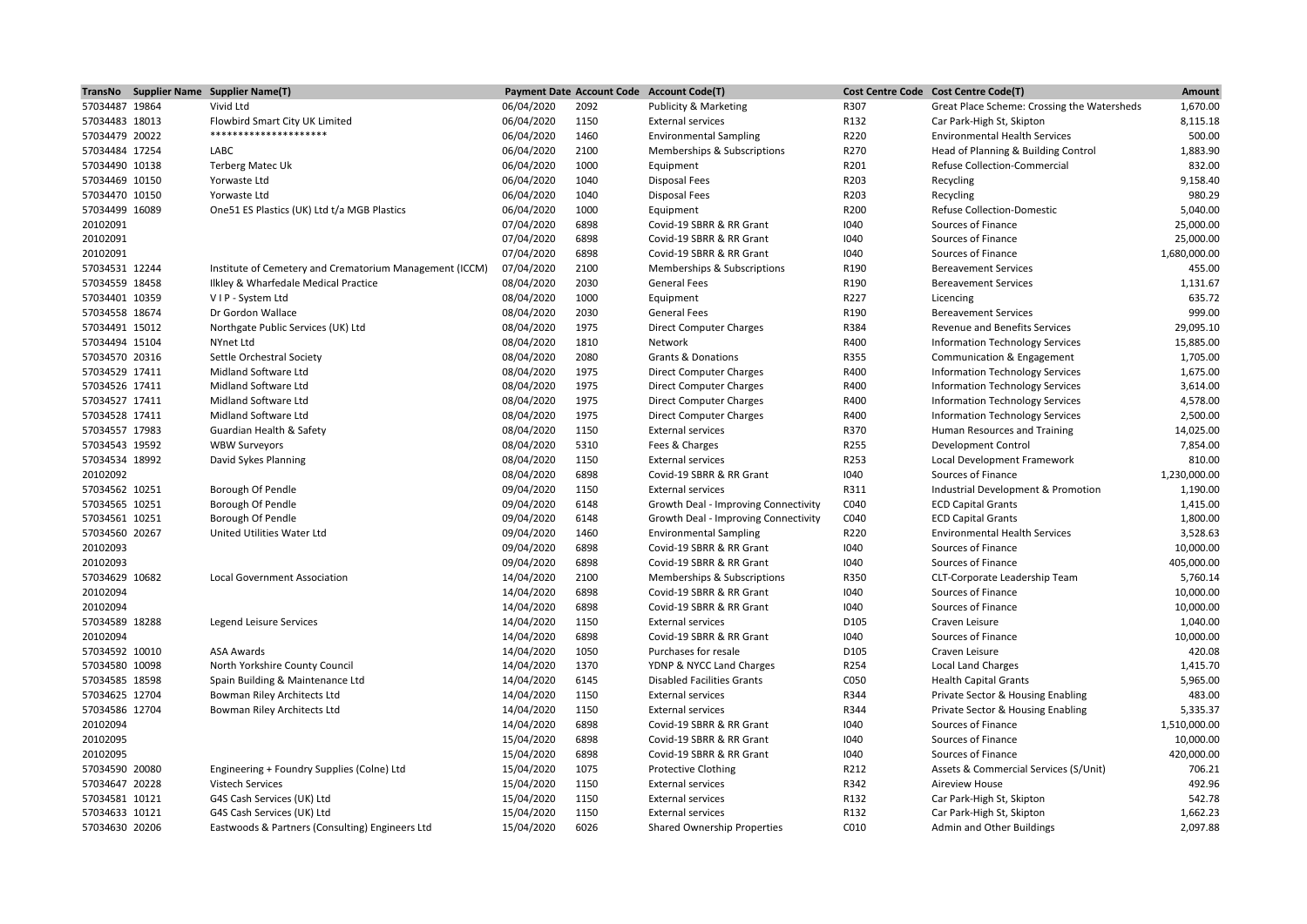| 57034487 19864<br>Vivid Ltd<br>06/04/2020<br>2092<br>R307<br>1,670.00<br>Publicity & Marketing<br>Great Place Scheme: Crossing the Watersheds<br>57034483 18013<br>Flowbird Smart City UK Limited<br>06/04/2020<br>1150<br>R132<br>8,115.18<br><b>External services</b><br>Car Park-High St, Skipton<br>********************<br>500.00<br>57034479 20022<br>06/04/2020<br>1460<br><b>Environmental Sampling</b><br>R220<br><b>Environmental Health Services</b><br>1,883.90<br>57034484 17254<br>LABC<br>06/04/2020<br>2100<br>Memberships & Subscriptions<br>R270<br>Head of Planning & Building Control<br>832.00<br>06/04/2020<br>1000<br>R201<br>57034490 10138<br><b>Terberg Matec Uk</b><br>Equipment<br>Refuse Collection-Commercial<br>06/04/2020<br>R203<br>9,158.40<br>57034469 10150<br>Yorwaste Ltd<br>1040<br><b>Disposal Fees</b><br>Recycling<br>06/04/2020<br>R203<br>980.29<br>57034470 10150<br>Yorwaste Ltd<br>1040<br><b>Disposal Fees</b><br>Recycling<br>5,040.00<br>57034499 16089<br>One 51 ES Plastics (UK) Ltd t/a MGB Plastics<br>06/04/2020<br>1000<br>R200<br>Equipment<br><b>Refuse Collection-Domestic</b><br>20102091<br>07/04/2020<br>6898<br>1040<br>Sources of Finance<br>25,000.00<br>Covid-19 SBRR & RR Grant<br>20102091<br>07/04/2020<br>6898<br>1040<br>Sources of Finance<br>25,000.00<br>Covid-19 SBRR & RR Grant<br>07/04/2020<br>6898<br>20102091<br>Covid-19 SBRR & RR Grant<br>1040<br>Sources of Finance<br>1,680,000.00<br>57034531 12244<br>Institute of Cemetery and Crematorium Management (ICCM)<br>07/04/2020<br>2100<br>R190<br>455.00<br>Memberships & Subscriptions<br><b>Bereavement Services</b><br>08/04/2020<br>2030<br>57034559 18458<br>Ilkley & Wharfedale Medical Practice<br><b>General Fees</b><br>R190<br><b>Bereavement Services</b><br>1,131.67<br>08/04/2020<br>1000<br>635.72<br>57034401 10359<br>VIP - System Ltd<br>Equipment<br>R227<br>Licencing<br>999.00<br>57034558 18674<br>08/04/2020<br>2030<br>R190<br>Dr Gordon Wallace<br><b>General Fees</b><br><b>Bereavement Services</b><br>08/04/2020<br>1975<br>R384<br>29,095.10<br>57034491 15012<br>Northgate Public Services (UK) Ltd<br><b>Direct Computer Charges</b><br><b>Revenue and Benefits Services</b><br>08/04/2020<br>1810<br>R400<br>15,885.00<br>57034494 15104<br>NYnet Ltd<br>Network<br><b>Information Technology Services</b><br>2080<br>1,705.00<br>57034570 20316<br>Settle Orchestral Society<br>08/04/2020<br><b>Grants &amp; Donations</b><br>R355<br>Communication & Engagement<br>57034529 17411<br>Midland Software Ltd<br>08/04/2020<br>1975<br>R400<br><b>Information Technology Services</b><br>1,675.00<br><b>Direct Computer Charges</b><br>57034526 17411<br>Midland Software Ltd<br>08/04/2020<br>1975<br>R400<br><b>Information Technology Services</b><br>3,614.00<br><b>Direct Computer Charges</b><br>08/04/2020<br>1975<br>R400<br>4,578.00<br>57034527 17411<br>Midland Software Ltd<br><b>Direct Computer Charges</b><br><b>Information Technology Services</b><br>57034528 17411<br>Midland Software Ltd<br>08/04/2020<br>1975<br><b>Direct Computer Charges</b><br>R400<br><b>Information Technology Services</b><br>2,500.00<br>08/04/2020<br>1150<br>R370<br>14,025.00<br>57034557 17983<br>Guardian Health & Safety<br><b>External services</b><br>Human Resources and Training<br>08/04/2020<br>5310<br>R255<br>7,854.00<br>57034543 19592<br><b>WBW Surveyors</b><br>Fees & Charges<br><b>Development Control</b><br>08/04/2020<br>1150<br>R253<br>810.00<br>57034534 18992<br>David Sykes Planning<br><b>External services</b><br>Local Development Framework<br>20102092<br>08/04/2020<br>6898<br>1040<br>Covid-19 SBRR & RR Grant<br>Sources of Finance<br>1,230,000.00<br>57034562 10251<br>09/04/2020<br>1150<br>R311<br>Industrial Development & Promotion<br>1,190.00<br>Borough Of Pendle<br><b>External services</b><br>57034565 10251<br>Borough Of Pendle<br>09/04/2020<br>6148<br>C040<br>1,415.00<br>Growth Deal - Improving Connectivity<br><b>ECD Capital Grants</b><br>1,800.00<br>57034561 10251<br>Borough Of Pendle<br>09/04/2020<br>6148<br>Growth Deal - Improving Connectivity<br>C040<br><b>ECD Capital Grants</b><br>3,528.63<br>57034560 20267<br>United Utilities Water Ltd<br>09/04/2020<br>1460<br><b>Environmental Sampling</b><br>R220<br><b>Environmental Health Services</b><br>20102093<br>09/04/2020<br>6898<br>1040<br>Sources of Finance<br>10,000.00<br>Covid-19 SBRR & RR Grant<br>6898<br>20102093<br>09/04/2020<br>Covid-19 SBRR & RR Grant<br>1040<br>Sources of Finance<br>405,000.00<br>57034629 10682<br>14/04/2020<br>2100<br>R350<br>5,760.14<br><b>Local Government Association</b><br>Memberships & Subscriptions<br>CLT-Corporate Leadership Team<br>20102094<br>14/04/2020<br>6898<br>1040<br>10,000.00<br>Covid-19 SBRR & RR Grant<br>Sources of Finance<br>20102094<br>14/04/2020<br>6898<br>10,000.00<br>Covid-19 SBRR & RR Grant<br>1040<br>Sources of Finance<br>57034589 18288<br>1,040.00<br>14/04/2020<br>1150<br><b>External services</b><br>D105<br>Craven Leisure<br>Legend Leisure Services<br>6898<br>10,000.00<br>20102094<br>14/04/2020<br>Covid-19 SBRR & RR Grant<br>1040<br>Sources of Finance<br>420.08<br>57034592 10010<br>14/04/2020<br>1050<br>D105<br><b>ASA Awards</b><br>Purchases for resale<br>Craven Leisure<br>14/04/2020<br>1370<br>R254<br>1,415.70<br>57034580 10098<br>North Yorkshire County Council<br>YDNP & NYCC Land Charges<br><b>Local Land Charges</b><br>14/04/2020<br>5,965.00<br>57034585 18598<br>Spain Building & Maintenance Ltd<br>6145<br><b>Disabled Facilities Grants</b><br>C050<br><b>Health Capital Grants</b><br>483.00<br>57034625 12704<br>Bowman Riley Architects Ltd<br>14/04/2020<br>1150<br>R344<br>Private Sector & Housing Enabling<br><b>External services</b><br>14/04/2020<br>1150<br>R344<br>5,335.37<br>57034586 12704<br>Bowman Riley Architects Ltd<br><b>External services</b><br>Private Sector & Housing Enabling<br>20102094<br>14/04/2020<br>6898<br>1040<br>Sources of Finance<br>1,510,000.00<br>Covid-19 SBRR & RR Grant<br>20102095<br>Sources of Finance<br>10,000.00<br>15/04/2020<br>6898<br>Covid-19 SBRR & RR Grant<br>1040<br>20102095<br>6898<br>420,000.00<br>15/04/2020<br>Covid-19 SBRR & RR Grant<br>1040<br>Sources of Finance<br>57034590 20080<br>15/04/2020<br>1075<br>R212<br>706.21<br>Engineering + Foundry Supplies (Colne) Ltd<br><b>Protective Clothing</b><br>Assets & Commercial Services (S/Unit)<br>57034647 20228<br>15/04/2020<br>1150<br>R342<br>492.96<br><b>Vistech Services</b><br><b>External services</b><br><b>Aireview House</b><br>542.78<br>57034581 10121<br>G4S Cash Services (UK) Ltd<br>15/04/2020<br>1150<br><b>External services</b><br>R132<br>Car Park-High St, Skipton<br>57034633 10121<br>15/04/2020<br>1150<br>R132<br>1,662.23<br>G4S Cash Services (UK) Ltd<br><b>External services</b><br>Car Park-High St, Skipton<br>57034630 20206 |  | TransNo Supplier Name Supplier Name(T)          |            |      | Payment Date Account Code Account Code(T) |      | Cost Centre Code Cost Centre Code(T) | Amount   |
|----------------------------------------------------------------------------------------------------------------------------------------------------------------------------------------------------------------------------------------------------------------------------------------------------------------------------------------------------------------------------------------------------------------------------------------------------------------------------------------------------------------------------------------------------------------------------------------------------------------------------------------------------------------------------------------------------------------------------------------------------------------------------------------------------------------------------------------------------------------------------------------------------------------------------------------------------------------------------------------------------------------------------------------------------------------------------------------------------------------------------------------------------------------------------------------------------------------------------------------------------------------------------------------------------------------------------------------------------------------------------------------------------------------------------------------------------------------------------------------------------------------------------------------------------------------------------------------------------------------------------------------------------------------------------------------------------------------------------------------------------------------------------------------------------------------------------------------------------------------------------------------------------------------------------------------------------------------------------------------------------------------------------------------------------------------------------------------------------------------------------------------------------------------------------------------------------------------------------------------------------------------------------------------------------------------------------------------------------------------------------------------------------------------------------------------------------------------------------------------------------------------------------------------------------------------------------------------------------------------------------------------------------------------------------------------------------------------------------------------------------------------------------------------------------------------------------------------------------------------------------------------------------------------------------------------------------------------------------------------------------------------------------------------------------------------------------------------------------------------------------------------------------------------------------------------------------------------------------------------------------------------------------------------------------------------------------------------------------------------------------------------------------------------------------------------------------------------------------------------------------------------------------------------------------------------------------------------------------------------------------------------------------------------------------------------------------------------------------------------------------------------------------------------------------------------------------------------------------------------------------------------------------------------------------------------------------------------------------------------------------------------------------------------------------------------------------------------------------------------------------------------------------------------------------------------------------------------------------------------------------------------------------------------------------------------------------------------------------------------------------------------------------------------------------------------------------------------------------------------------------------------------------------------------------------------------------------------------------------------------------------------------------------------------------------------------------------------------------------------------------------------------------------------------------------------------------------------------------------------------------------------------------------------------------------------------------------------------------------------------------------------------------------------------------------------------------------------------------------------------------------------------------------------------------------------------------------------------------------------------------------------------------------------------------------------------------------------------------------------------------------------------------------------------------------------------------------------------------------------------------------------------------------------------------------------------------------------------------------------------------------------------------------------------------------------------------------------------------------------------------------------------------------------------------------------------------------------------------------------------------------------------------------------------------------------------------------------------------------------------------------------------------------------------------------------------------------------------------------------------------------------------------------------------------------------------------------------------------------------------------------------------------------------------------------------------------------------------------------------------------------------------------------------------------------------------------------------------------------------------------------------------------------------------------------------------------------------------------------------------------------------------------------------------------------------------------------------------------------------------------------------------------------------------------------------------------------------------------------------------------------------------------------------------------------------------------------------------------------------------------------|--|-------------------------------------------------|------------|------|-------------------------------------------|------|--------------------------------------|----------|
|                                                                                                                                                                                                                                                                                                                                                                                                                                                                                                                                                                                                                                                                                                                                                                                                                                                                                                                                                                                                                                                                                                                                                                                                                                                                                                                                                                                                                                                                                                                                                                                                                                                                                                                                                                                                                                                                                                                                                                                                                                                                                                                                                                                                                                                                                                                                                                                                                                                                                                                                                                                                                                                                                                                                                                                                                                                                                                                                                                                                                                                                                                                                                                                                                                                                                                                                                                                                                                                                                                                                                                                                                                                                                                                                                                                                                                                                                                                                                                                                                                                                                                                                                                                                                                                                                                                                                                                                                                                                                                                                                                                                                                                                                                                                                                                                                                                                                                                                                                                                                                                                                                                                                                                                                                                                                                                                                                                                                                                                                                                                                                                                                                                                                                                                                                                                                                                                                                                                                                                                                                                                                                                                                                                                                                                                                                                                                                                                                                                                                                                                                                                                                                                                                                                                                                                                                                                                                                                                                                                                          |  |                                                 |            |      |                                           |      |                                      |          |
|                                                                                                                                                                                                                                                                                                                                                                                                                                                                                                                                                                                                                                                                                                                                                                                                                                                                                                                                                                                                                                                                                                                                                                                                                                                                                                                                                                                                                                                                                                                                                                                                                                                                                                                                                                                                                                                                                                                                                                                                                                                                                                                                                                                                                                                                                                                                                                                                                                                                                                                                                                                                                                                                                                                                                                                                                                                                                                                                                                                                                                                                                                                                                                                                                                                                                                                                                                                                                                                                                                                                                                                                                                                                                                                                                                                                                                                                                                                                                                                                                                                                                                                                                                                                                                                                                                                                                                                                                                                                                                                                                                                                                                                                                                                                                                                                                                                                                                                                                                                                                                                                                                                                                                                                                                                                                                                                                                                                                                                                                                                                                                                                                                                                                                                                                                                                                                                                                                                                                                                                                                                                                                                                                                                                                                                                                                                                                                                                                                                                                                                                                                                                                                                                                                                                                                                                                                                                                                                                                                                                          |  |                                                 |            |      |                                           |      |                                      |          |
|                                                                                                                                                                                                                                                                                                                                                                                                                                                                                                                                                                                                                                                                                                                                                                                                                                                                                                                                                                                                                                                                                                                                                                                                                                                                                                                                                                                                                                                                                                                                                                                                                                                                                                                                                                                                                                                                                                                                                                                                                                                                                                                                                                                                                                                                                                                                                                                                                                                                                                                                                                                                                                                                                                                                                                                                                                                                                                                                                                                                                                                                                                                                                                                                                                                                                                                                                                                                                                                                                                                                                                                                                                                                                                                                                                                                                                                                                                                                                                                                                                                                                                                                                                                                                                                                                                                                                                                                                                                                                                                                                                                                                                                                                                                                                                                                                                                                                                                                                                                                                                                                                                                                                                                                                                                                                                                                                                                                                                                                                                                                                                                                                                                                                                                                                                                                                                                                                                                                                                                                                                                                                                                                                                                                                                                                                                                                                                                                                                                                                                                                                                                                                                                                                                                                                                                                                                                                                                                                                                                                          |  |                                                 |            |      |                                           |      |                                      |          |
|                                                                                                                                                                                                                                                                                                                                                                                                                                                                                                                                                                                                                                                                                                                                                                                                                                                                                                                                                                                                                                                                                                                                                                                                                                                                                                                                                                                                                                                                                                                                                                                                                                                                                                                                                                                                                                                                                                                                                                                                                                                                                                                                                                                                                                                                                                                                                                                                                                                                                                                                                                                                                                                                                                                                                                                                                                                                                                                                                                                                                                                                                                                                                                                                                                                                                                                                                                                                                                                                                                                                                                                                                                                                                                                                                                                                                                                                                                                                                                                                                                                                                                                                                                                                                                                                                                                                                                                                                                                                                                                                                                                                                                                                                                                                                                                                                                                                                                                                                                                                                                                                                                                                                                                                                                                                                                                                                                                                                                                                                                                                                                                                                                                                                                                                                                                                                                                                                                                                                                                                                                                                                                                                                                                                                                                                                                                                                                                                                                                                                                                                                                                                                                                                                                                                                                                                                                                                                                                                                                                                          |  |                                                 |            |      |                                           |      |                                      |          |
|                                                                                                                                                                                                                                                                                                                                                                                                                                                                                                                                                                                                                                                                                                                                                                                                                                                                                                                                                                                                                                                                                                                                                                                                                                                                                                                                                                                                                                                                                                                                                                                                                                                                                                                                                                                                                                                                                                                                                                                                                                                                                                                                                                                                                                                                                                                                                                                                                                                                                                                                                                                                                                                                                                                                                                                                                                                                                                                                                                                                                                                                                                                                                                                                                                                                                                                                                                                                                                                                                                                                                                                                                                                                                                                                                                                                                                                                                                                                                                                                                                                                                                                                                                                                                                                                                                                                                                                                                                                                                                                                                                                                                                                                                                                                                                                                                                                                                                                                                                                                                                                                                                                                                                                                                                                                                                                                                                                                                                                                                                                                                                                                                                                                                                                                                                                                                                                                                                                                                                                                                                                                                                                                                                                                                                                                                                                                                                                                                                                                                                                                                                                                                                                                                                                                                                                                                                                                                                                                                                                                          |  |                                                 |            |      |                                           |      |                                      |          |
|                                                                                                                                                                                                                                                                                                                                                                                                                                                                                                                                                                                                                                                                                                                                                                                                                                                                                                                                                                                                                                                                                                                                                                                                                                                                                                                                                                                                                                                                                                                                                                                                                                                                                                                                                                                                                                                                                                                                                                                                                                                                                                                                                                                                                                                                                                                                                                                                                                                                                                                                                                                                                                                                                                                                                                                                                                                                                                                                                                                                                                                                                                                                                                                                                                                                                                                                                                                                                                                                                                                                                                                                                                                                                                                                                                                                                                                                                                                                                                                                                                                                                                                                                                                                                                                                                                                                                                                                                                                                                                                                                                                                                                                                                                                                                                                                                                                                                                                                                                                                                                                                                                                                                                                                                                                                                                                                                                                                                                                                                                                                                                                                                                                                                                                                                                                                                                                                                                                                                                                                                                                                                                                                                                                                                                                                                                                                                                                                                                                                                                                                                                                                                                                                                                                                                                                                                                                                                                                                                                                                          |  |                                                 |            |      |                                           |      |                                      |          |
|                                                                                                                                                                                                                                                                                                                                                                                                                                                                                                                                                                                                                                                                                                                                                                                                                                                                                                                                                                                                                                                                                                                                                                                                                                                                                                                                                                                                                                                                                                                                                                                                                                                                                                                                                                                                                                                                                                                                                                                                                                                                                                                                                                                                                                                                                                                                                                                                                                                                                                                                                                                                                                                                                                                                                                                                                                                                                                                                                                                                                                                                                                                                                                                                                                                                                                                                                                                                                                                                                                                                                                                                                                                                                                                                                                                                                                                                                                                                                                                                                                                                                                                                                                                                                                                                                                                                                                                                                                                                                                                                                                                                                                                                                                                                                                                                                                                                                                                                                                                                                                                                                                                                                                                                                                                                                                                                                                                                                                                                                                                                                                                                                                                                                                                                                                                                                                                                                                                                                                                                                                                                                                                                                                                                                                                                                                                                                                                                                                                                                                                                                                                                                                                                                                                                                                                                                                                                                                                                                                                                          |  |                                                 |            |      |                                           |      |                                      |          |
|                                                                                                                                                                                                                                                                                                                                                                                                                                                                                                                                                                                                                                                                                                                                                                                                                                                                                                                                                                                                                                                                                                                                                                                                                                                                                                                                                                                                                                                                                                                                                                                                                                                                                                                                                                                                                                                                                                                                                                                                                                                                                                                                                                                                                                                                                                                                                                                                                                                                                                                                                                                                                                                                                                                                                                                                                                                                                                                                                                                                                                                                                                                                                                                                                                                                                                                                                                                                                                                                                                                                                                                                                                                                                                                                                                                                                                                                                                                                                                                                                                                                                                                                                                                                                                                                                                                                                                                                                                                                                                                                                                                                                                                                                                                                                                                                                                                                                                                                                                                                                                                                                                                                                                                                                                                                                                                                                                                                                                                                                                                                                                                                                                                                                                                                                                                                                                                                                                                                                                                                                                                                                                                                                                                                                                                                                                                                                                                                                                                                                                                                                                                                                                                                                                                                                                                                                                                                                                                                                                                                          |  |                                                 |            |      |                                           |      |                                      |          |
|                                                                                                                                                                                                                                                                                                                                                                                                                                                                                                                                                                                                                                                                                                                                                                                                                                                                                                                                                                                                                                                                                                                                                                                                                                                                                                                                                                                                                                                                                                                                                                                                                                                                                                                                                                                                                                                                                                                                                                                                                                                                                                                                                                                                                                                                                                                                                                                                                                                                                                                                                                                                                                                                                                                                                                                                                                                                                                                                                                                                                                                                                                                                                                                                                                                                                                                                                                                                                                                                                                                                                                                                                                                                                                                                                                                                                                                                                                                                                                                                                                                                                                                                                                                                                                                                                                                                                                                                                                                                                                                                                                                                                                                                                                                                                                                                                                                                                                                                                                                                                                                                                                                                                                                                                                                                                                                                                                                                                                                                                                                                                                                                                                                                                                                                                                                                                                                                                                                                                                                                                                                                                                                                                                                                                                                                                                                                                                                                                                                                                                                                                                                                                                                                                                                                                                                                                                                                                                                                                                                                          |  |                                                 |            |      |                                           |      |                                      |          |
|                                                                                                                                                                                                                                                                                                                                                                                                                                                                                                                                                                                                                                                                                                                                                                                                                                                                                                                                                                                                                                                                                                                                                                                                                                                                                                                                                                                                                                                                                                                                                                                                                                                                                                                                                                                                                                                                                                                                                                                                                                                                                                                                                                                                                                                                                                                                                                                                                                                                                                                                                                                                                                                                                                                                                                                                                                                                                                                                                                                                                                                                                                                                                                                                                                                                                                                                                                                                                                                                                                                                                                                                                                                                                                                                                                                                                                                                                                                                                                                                                                                                                                                                                                                                                                                                                                                                                                                                                                                                                                                                                                                                                                                                                                                                                                                                                                                                                                                                                                                                                                                                                                                                                                                                                                                                                                                                                                                                                                                                                                                                                                                                                                                                                                                                                                                                                                                                                                                                                                                                                                                                                                                                                                                                                                                                                                                                                                                                                                                                                                                                                                                                                                                                                                                                                                                                                                                                                                                                                                                                          |  |                                                 |            |      |                                           |      |                                      |          |
|                                                                                                                                                                                                                                                                                                                                                                                                                                                                                                                                                                                                                                                                                                                                                                                                                                                                                                                                                                                                                                                                                                                                                                                                                                                                                                                                                                                                                                                                                                                                                                                                                                                                                                                                                                                                                                                                                                                                                                                                                                                                                                                                                                                                                                                                                                                                                                                                                                                                                                                                                                                                                                                                                                                                                                                                                                                                                                                                                                                                                                                                                                                                                                                                                                                                                                                                                                                                                                                                                                                                                                                                                                                                                                                                                                                                                                                                                                                                                                                                                                                                                                                                                                                                                                                                                                                                                                                                                                                                                                                                                                                                                                                                                                                                                                                                                                                                                                                                                                                                                                                                                                                                                                                                                                                                                                                                                                                                                                                                                                                                                                                                                                                                                                                                                                                                                                                                                                                                                                                                                                                                                                                                                                                                                                                                                                                                                                                                                                                                                                                                                                                                                                                                                                                                                                                                                                                                                                                                                                                                          |  |                                                 |            |      |                                           |      |                                      |          |
|                                                                                                                                                                                                                                                                                                                                                                                                                                                                                                                                                                                                                                                                                                                                                                                                                                                                                                                                                                                                                                                                                                                                                                                                                                                                                                                                                                                                                                                                                                                                                                                                                                                                                                                                                                                                                                                                                                                                                                                                                                                                                                                                                                                                                                                                                                                                                                                                                                                                                                                                                                                                                                                                                                                                                                                                                                                                                                                                                                                                                                                                                                                                                                                                                                                                                                                                                                                                                                                                                                                                                                                                                                                                                                                                                                                                                                                                                                                                                                                                                                                                                                                                                                                                                                                                                                                                                                                                                                                                                                                                                                                                                                                                                                                                                                                                                                                                                                                                                                                                                                                                                                                                                                                                                                                                                                                                                                                                                                                                                                                                                                                                                                                                                                                                                                                                                                                                                                                                                                                                                                                                                                                                                                                                                                                                                                                                                                                                                                                                                                                                                                                                                                                                                                                                                                                                                                                                                                                                                                                                          |  |                                                 |            |      |                                           |      |                                      |          |
|                                                                                                                                                                                                                                                                                                                                                                                                                                                                                                                                                                                                                                                                                                                                                                                                                                                                                                                                                                                                                                                                                                                                                                                                                                                                                                                                                                                                                                                                                                                                                                                                                                                                                                                                                                                                                                                                                                                                                                                                                                                                                                                                                                                                                                                                                                                                                                                                                                                                                                                                                                                                                                                                                                                                                                                                                                                                                                                                                                                                                                                                                                                                                                                                                                                                                                                                                                                                                                                                                                                                                                                                                                                                                                                                                                                                                                                                                                                                                                                                                                                                                                                                                                                                                                                                                                                                                                                                                                                                                                                                                                                                                                                                                                                                                                                                                                                                                                                                                                                                                                                                                                                                                                                                                                                                                                                                                                                                                                                                                                                                                                                                                                                                                                                                                                                                                                                                                                                                                                                                                                                                                                                                                                                                                                                                                                                                                                                                                                                                                                                                                                                                                                                                                                                                                                                                                                                                                                                                                                                                          |  |                                                 |            |      |                                           |      |                                      |          |
|                                                                                                                                                                                                                                                                                                                                                                                                                                                                                                                                                                                                                                                                                                                                                                                                                                                                                                                                                                                                                                                                                                                                                                                                                                                                                                                                                                                                                                                                                                                                                                                                                                                                                                                                                                                                                                                                                                                                                                                                                                                                                                                                                                                                                                                                                                                                                                                                                                                                                                                                                                                                                                                                                                                                                                                                                                                                                                                                                                                                                                                                                                                                                                                                                                                                                                                                                                                                                                                                                                                                                                                                                                                                                                                                                                                                                                                                                                                                                                                                                                                                                                                                                                                                                                                                                                                                                                                                                                                                                                                                                                                                                                                                                                                                                                                                                                                                                                                                                                                                                                                                                                                                                                                                                                                                                                                                                                                                                                                                                                                                                                                                                                                                                                                                                                                                                                                                                                                                                                                                                                                                                                                                                                                                                                                                                                                                                                                                                                                                                                                                                                                                                                                                                                                                                                                                                                                                                                                                                                                                          |  |                                                 |            |      |                                           |      |                                      |          |
|                                                                                                                                                                                                                                                                                                                                                                                                                                                                                                                                                                                                                                                                                                                                                                                                                                                                                                                                                                                                                                                                                                                                                                                                                                                                                                                                                                                                                                                                                                                                                                                                                                                                                                                                                                                                                                                                                                                                                                                                                                                                                                                                                                                                                                                                                                                                                                                                                                                                                                                                                                                                                                                                                                                                                                                                                                                                                                                                                                                                                                                                                                                                                                                                                                                                                                                                                                                                                                                                                                                                                                                                                                                                                                                                                                                                                                                                                                                                                                                                                                                                                                                                                                                                                                                                                                                                                                                                                                                                                                                                                                                                                                                                                                                                                                                                                                                                                                                                                                                                                                                                                                                                                                                                                                                                                                                                                                                                                                                                                                                                                                                                                                                                                                                                                                                                                                                                                                                                                                                                                                                                                                                                                                                                                                                                                                                                                                                                                                                                                                                                                                                                                                                                                                                                                                                                                                                                                                                                                                                                          |  |                                                 |            |      |                                           |      |                                      |          |
|                                                                                                                                                                                                                                                                                                                                                                                                                                                                                                                                                                                                                                                                                                                                                                                                                                                                                                                                                                                                                                                                                                                                                                                                                                                                                                                                                                                                                                                                                                                                                                                                                                                                                                                                                                                                                                                                                                                                                                                                                                                                                                                                                                                                                                                                                                                                                                                                                                                                                                                                                                                                                                                                                                                                                                                                                                                                                                                                                                                                                                                                                                                                                                                                                                                                                                                                                                                                                                                                                                                                                                                                                                                                                                                                                                                                                                                                                                                                                                                                                                                                                                                                                                                                                                                                                                                                                                                                                                                                                                                                                                                                                                                                                                                                                                                                                                                                                                                                                                                                                                                                                                                                                                                                                                                                                                                                                                                                                                                                                                                                                                                                                                                                                                                                                                                                                                                                                                                                                                                                                                                                                                                                                                                                                                                                                                                                                                                                                                                                                                                                                                                                                                                                                                                                                                                                                                                                                                                                                                                                          |  |                                                 |            |      |                                           |      |                                      |          |
|                                                                                                                                                                                                                                                                                                                                                                                                                                                                                                                                                                                                                                                                                                                                                                                                                                                                                                                                                                                                                                                                                                                                                                                                                                                                                                                                                                                                                                                                                                                                                                                                                                                                                                                                                                                                                                                                                                                                                                                                                                                                                                                                                                                                                                                                                                                                                                                                                                                                                                                                                                                                                                                                                                                                                                                                                                                                                                                                                                                                                                                                                                                                                                                                                                                                                                                                                                                                                                                                                                                                                                                                                                                                                                                                                                                                                                                                                                                                                                                                                                                                                                                                                                                                                                                                                                                                                                                                                                                                                                                                                                                                                                                                                                                                                                                                                                                                                                                                                                                                                                                                                                                                                                                                                                                                                                                                                                                                                                                                                                                                                                                                                                                                                                                                                                                                                                                                                                                                                                                                                                                                                                                                                                                                                                                                                                                                                                                                                                                                                                                                                                                                                                                                                                                                                                                                                                                                                                                                                                                                          |  |                                                 |            |      |                                           |      |                                      |          |
|                                                                                                                                                                                                                                                                                                                                                                                                                                                                                                                                                                                                                                                                                                                                                                                                                                                                                                                                                                                                                                                                                                                                                                                                                                                                                                                                                                                                                                                                                                                                                                                                                                                                                                                                                                                                                                                                                                                                                                                                                                                                                                                                                                                                                                                                                                                                                                                                                                                                                                                                                                                                                                                                                                                                                                                                                                                                                                                                                                                                                                                                                                                                                                                                                                                                                                                                                                                                                                                                                                                                                                                                                                                                                                                                                                                                                                                                                                                                                                                                                                                                                                                                                                                                                                                                                                                                                                                                                                                                                                                                                                                                                                                                                                                                                                                                                                                                                                                                                                                                                                                                                                                                                                                                                                                                                                                                                                                                                                                                                                                                                                                                                                                                                                                                                                                                                                                                                                                                                                                                                                                                                                                                                                                                                                                                                                                                                                                                                                                                                                                                                                                                                                                                                                                                                                                                                                                                                                                                                                                                          |  |                                                 |            |      |                                           |      |                                      |          |
|                                                                                                                                                                                                                                                                                                                                                                                                                                                                                                                                                                                                                                                                                                                                                                                                                                                                                                                                                                                                                                                                                                                                                                                                                                                                                                                                                                                                                                                                                                                                                                                                                                                                                                                                                                                                                                                                                                                                                                                                                                                                                                                                                                                                                                                                                                                                                                                                                                                                                                                                                                                                                                                                                                                                                                                                                                                                                                                                                                                                                                                                                                                                                                                                                                                                                                                                                                                                                                                                                                                                                                                                                                                                                                                                                                                                                                                                                                                                                                                                                                                                                                                                                                                                                                                                                                                                                                                                                                                                                                                                                                                                                                                                                                                                                                                                                                                                                                                                                                                                                                                                                                                                                                                                                                                                                                                                                                                                                                                                                                                                                                                                                                                                                                                                                                                                                                                                                                                                                                                                                                                                                                                                                                                                                                                                                                                                                                                                                                                                                                                                                                                                                                                                                                                                                                                                                                                                                                                                                                                                          |  |                                                 |            |      |                                           |      |                                      |          |
|                                                                                                                                                                                                                                                                                                                                                                                                                                                                                                                                                                                                                                                                                                                                                                                                                                                                                                                                                                                                                                                                                                                                                                                                                                                                                                                                                                                                                                                                                                                                                                                                                                                                                                                                                                                                                                                                                                                                                                                                                                                                                                                                                                                                                                                                                                                                                                                                                                                                                                                                                                                                                                                                                                                                                                                                                                                                                                                                                                                                                                                                                                                                                                                                                                                                                                                                                                                                                                                                                                                                                                                                                                                                                                                                                                                                                                                                                                                                                                                                                                                                                                                                                                                                                                                                                                                                                                                                                                                                                                                                                                                                                                                                                                                                                                                                                                                                                                                                                                                                                                                                                                                                                                                                                                                                                                                                                                                                                                                                                                                                                                                                                                                                                                                                                                                                                                                                                                                                                                                                                                                                                                                                                                                                                                                                                                                                                                                                                                                                                                                                                                                                                                                                                                                                                                                                                                                                                                                                                                                                          |  |                                                 |            |      |                                           |      |                                      |          |
|                                                                                                                                                                                                                                                                                                                                                                                                                                                                                                                                                                                                                                                                                                                                                                                                                                                                                                                                                                                                                                                                                                                                                                                                                                                                                                                                                                                                                                                                                                                                                                                                                                                                                                                                                                                                                                                                                                                                                                                                                                                                                                                                                                                                                                                                                                                                                                                                                                                                                                                                                                                                                                                                                                                                                                                                                                                                                                                                                                                                                                                                                                                                                                                                                                                                                                                                                                                                                                                                                                                                                                                                                                                                                                                                                                                                                                                                                                                                                                                                                                                                                                                                                                                                                                                                                                                                                                                                                                                                                                                                                                                                                                                                                                                                                                                                                                                                                                                                                                                                                                                                                                                                                                                                                                                                                                                                                                                                                                                                                                                                                                                                                                                                                                                                                                                                                                                                                                                                                                                                                                                                                                                                                                                                                                                                                                                                                                                                                                                                                                                                                                                                                                                                                                                                                                                                                                                                                                                                                                                                          |  |                                                 |            |      |                                           |      |                                      |          |
|                                                                                                                                                                                                                                                                                                                                                                                                                                                                                                                                                                                                                                                                                                                                                                                                                                                                                                                                                                                                                                                                                                                                                                                                                                                                                                                                                                                                                                                                                                                                                                                                                                                                                                                                                                                                                                                                                                                                                                                                                                                                                                                                                                                                                                                                                                                                                                                                                                                                                                                                                                                                                                                                                                                                                                                                                                                                                                                                                                                                                                                                                                                                                                                                                                                                                                                                                                                                                                                                                                                                                                                                                                                                                                                                                                                                                                                                                                                                                                                                                                                                                                                                                                                                                                                                                                                                                                                                                                                                                                                                                                                                                                                                                                                                                                                                                                                                                                                                                                                                                                                                                                                                                                                                                                                                                                                                                                                                                                                                                                                                                                                                                                                                                                                                                                                                                                                                                                                                                                                                                                                                                                                                                                                                                                                                                                                                                                                                                                                                                                                                                                                                                                                                                                                                                                                                                                                                                                                                                                                                          |  |                                                 |            |      |                                           |      |                                      |          |
|                                                                                                                                                                                                                                                                                                                                                                                                                                                                                                                                                                                                                                                                                                                                                                                                                                                                                                                                                                                                                                                                                                                                                                                                                                                                                                                                                                                                                                                                                                                                                                                                                                                                                                                                                                                                                                                                                                                                                                                                                                                                                                                                                                                                                                                                                                                                                                                                                                                                                                                                                                                                                                                                                                                                                                                                                                                                                                                                                                                                                                                                                                                                                                                                                                                                                                                                                                                                                                                                                                                                                                                                                                                                                                                                                                                                                                                                                                                                                                                                                                                                                                                                                                                                                                                                                                                                                                                                                                                                                                                                                                                                                                                                                                                                                                                                                                                                                                                                                                                                                                                                                                                                                                                                                                                                                                                                                                                                                                                                                                                                                                                                                                                                                                                                                                                                                                                                                                                                                                                                                                                                                                                                                                                                                                                                                                                                                                                                                                                                                                                                                                                                                                                                                                                                                                                                                                                                                                                                                                                                          |  |                                                 |            |      |                                           |      |                                      |          |
|                                                                                                                                                                                                                                                                                                                                                                                                                                                                                                                                                                                                                                                                                                                                                                                                                                                                                                                                                                                                                                                                                                                                                                                                                                                                                                                                                                                                                                                                                                                                                                                                                                                                                                                                                                                                                                                                                                                                                                                                                                                                                                                                                                                                                                                                                                                                                                                                                                                                                                                                                                                                                                                                                                                                                                                                                                                                                                                                                                                                                                                                                                                                                                                                                                                                                                                                                                                                                                                                                                                                                                                                                                                                                                                                                                                                                                                                                                                                                                                                                                                                                                                                                                                                                                                                                                                                                                                                                                                                                                                                                                                                                                                                                                                                                                                                                                                                                                                                                                                                                                                                                                                                                                                                                                                                                                                                                                                                                                                                                                                                                                                                                                                                                                                                                                                                                                                                                                                                                                                                                                                                                                                                                                                                                                                                                                                                                                                                                                                                                                                                                                                                                                                                                                                                                                                                                                                                                                                                                                                                          |  |                                                 |            |      |                                           |      |                                      |          |
|                                                                                                                                                                                                                                                                                                                                                                                                                                                                                                                                                                                                                                                                                                                                                                                                                                                                                                                                                                                                                                                                                                                                                                                                                                                                                                                                                                                                                                                                                                                                                                                                                                                                                                                                                                                                                                                                                                                                                                                                                                                                                                                                                                                                                                                                                                                                                                                                                                                                                                                                                                                                                                                                                                                                                                                                                                                                                                                                                                                                                                                                                                                                                                                                                                                                                                                                                                                                                                                                                                                                                                                                                                                                                                                                                                                                                                                                                                                                                                                                                                                                                                                                                                                                                                                                                                                                                                                                                                                                                                                                                                                                                                                                                                                                                                                                                                                                                                                                                                                                                                                                                                                                                                                                                                                                                                                                                                                                                                                                                                                                                                                                                                                                                                                                                                                                                                                                                                                                                                                                                                                                                                                                                                                                                                                                                                                                                                                                                                                                                                                                                                                                                                                                                                                                                                                                                                                                                                                                                                                                          |  |                                                 |            |      |                                           |      |                                      |          |
|                                                                                                                                                                                                                                                                                                                                                                                                                                                                                                                                                                                                                                                                                                                                                                                                                                                                                                                                                                                                                                                                                                                                                                                                                                                                                                                                                                                                                                                                                                                                                                                                                                                                                                                                                                                                                                                                                                                                                                                                                                                                                                                                                                                                                                                                                                                                                                                                                                                                                                                                                                                                                                                                                                                                                                                                                                                                                                                                                                                                                                                                                                                                                                                                                                                                                                                                                                                                                                                                                                                                                                                                                                                                                                                                                                                                                                                                                                                                                                                                                                                                                                                                                                                                                                                                                                                                                                                                                                                                                                                                                                                                                                                                                                                                                                                                                                                                                                                                                                                                                                                                                                                                                                                                                                                                                                                                                                                                                                                                                                                                                                                                                                                                                                                                                                                                                                                                                                                                                                                                                                                                                                                                                                                                                                                                                                                                                                                                                                                                                                                                                                                                                                                                                                                                                                                                                                                                                                                                                                                                          |  |                                                 |            |      |                                           |      |                                      |          |
|                                                                                                                                                                                                                                                                                                                                                                                                                                                                                                                                                                                                                                                                                                                                                                                                                                                                                                                                                                                                                                                                                                                                                                                                                                                                                                                                                                                                                                                                                                                                                                                                                                                                                                                                                                                                                                                                                                                                                                                                                                                                                                                                                                                                                                                                                                                                                                                                                                                                                                                                                                                                                                                                                                                                                                                                                                                                                                                                                                                                                                                                                                                                                                                                                                                                                                                                                                                                                                                                                                                                                                                                                                                                                                                                                                                                                                                                                                                                                                                                                                                                                                                                                                                                                                                                                                                                                                                                                                                                                                                                                                                                                                                                                                                                                                                                                                                                                                                                                                                                                                                                                                                                                                                                                                                                                                                                                                                                                                                                                                                                                                                                                                                                                                                                                                                                                                                                                                                                                                                                                                                                                                                                                                                                                                                                                                                                                                                                                                                                                                                                                                                                                                                                                                                                                                                                                                                                                                                                                                                                          |  |                                                 |            |      |                                           |      |                                      |          |
|                                                                                                                                                                                                                                                                                                                                                                                                                                                                                                                                                                                                                                                                                                                                                                                                                                                                                                                                                                                                                                                                                                                                                                                                                                                                                                                                                                                                                                                                                                                                                                                                                                                                                                                                                                                                                                                                                                                                                                                                                                                                                                                                                                                                                                                                                                                                                                                                                                                                                                                                                                                                                                                                                                                                                                                                                                                                                                                                                                                                                                                                                                                                                                                                                                                                                                                                                                                                                                                                                                                                                                                                                                                                                                                                                                                                                                                                                                                                                                                                                                                                                                                                                                                                                                                                                                                                                                                                                                                                                                                                                                                                                                                                                                                                                                                                                                                                                                                                                                                                                                                                                                                                                                                                                                                                                                                                                                                                                                                                                                                                                                                                                                                                                                                                                                                                                                                                                                                                                                                                                                                                                                                                                                                                                                                                                                                                                                                                                                                                                                                                                                                                                                                                                                                                                                                                                                                                                                                                                                                                          |  |                                                 |            |      |                                           |      |                                      |          |
|                                                                                                                                                                                                                                                                                                                                                                                                                                                                                                                                                                                                                                                                                                                                                                                                                                                                                                                                                                                                                                                                                                                                                                                                                                                                                                                                                                                                                                                                                                                                                                                                                                                                                                                                                                                                                                                                                                                                                                                                                                                                                                                                                                                                                                                                                                                                                                                                                                                                                                                                                                                                                                                                                                                                                                                                                                                                                                                                                                                                                                                                                                                                                                                                                                                                                                                                                                                                                                                                                                                                                                                                                                                                                                                                                                                                                                                                                                                                                                                                                                                                                                                                                                                                                                                                                                                                                                                                                                                                                                                                                                                                                                                                                                                                                                                                                                                                                                                                                                                                                                                                                                                                                                                                                                                                                                                                                                                                                                                                                                                                                                                                                                                                                                                                                                                                                                                                                                                                                                                                                                                                                                                                                                                                                                                                                                                                                                                                                                                                                                                                                                                                                                                                                                                                                                                                                                                                                                                                                                                                          |  |                                                 |            |      |                                           |      |                                      |          |
|                                                                                                                                                                                                                                                                                                                                                                                                                                                                                                                                                                                                                                                                                                                                                                                                                                                                                                                                                                                                                                                                                                                                                                                                                                                                                                                                                                                                                                                                                                                                                                                                                                                                                                                                                                                                                                                                                                                                                                                                                                                                                                                                                                                                                                                                                                                                                                                                                                                                                                                                                                                                                                                                                                                                                                                                                                                                                                                                                                                                                                                                                                                                                                                                                                                                                                                                                                                                                                                                                                                                                                                                                                                                                                                                                                                                                                                                                                                                                                                                                                                                                                                                                                                                                                                                                                                                                                                                                                                                                                                                                                                                                                                                                                                                                                                                                                                                                                                                                                                                                                                                                                                                                                                                                                                                                                                                                                                                                                                                                                                                                                                                                                                                                                                                                                                                                                                                                                                                                                                                                                                                                                                                                                                                                                                                                                                                                                                                                                                                                                                                                                                                                                                                                                                                                                                                                                                                                                                                                                                                          |  |                                                 |            |      |                                           |      |                                      |          |
|                                                                                                                                                                                                                                                                                                                                                                                                                                                                                                                                                                                                                                                                                                                                                                                                                                                                                                                                                                                                                                                                                                                                                                                                                                                                                                                                                                                                                                                                                                                                                                                                                                                                                                                                                                                                                                                                                                                                                                                                                                                                                                                                                                                                                                                                                                                                                                                                                                                                                                                                                                                                                                                                                                                                                                                                                                                                                                                                                                                                                                                                                                                                                                                                                                                                                                                                                                                                                                                                                                                                                                                                                                                                                                                                                                                                                                                                                                                                                                                                                                                                                                                                                                                                                                                                                                                                                                                                                                                                                                                                                                                                                                                                                                                                                                                                                                                                                                                                                                                                                                                                                                                                                                                                                                                                                                                                                                                                                                                                                                                                                                                                                                                                                                                                                                                                                                                                                                                                                                                                                                                                                                                                                                                                                                                                                                                                                                                                                                                                                                                                                                                                                                                                                                                                                                                                                                                                                                                                                                                                          |  |                                                 |            |      |                                           |      |                                      |          |
|                                                                                                                                                                                                                                                                                                                                                                                                                                                                                                                                                                                                                                                                                                                                                                                                                                                                                                                                                                                                                                                                                                                                                                                                                                                                                                                                                                                                                                                                                                                                                                                                                                                                                                                                                                                                                                                                                                                                                                                                                                                                                                                                                                                                                                                                                                                                                                                                                                                                                                                                                                                                                                                                                                                                                                                                                                                                                                                                                                                                                                                                                                                                                                                                                                                                                                                                                                                                                                                                                                                                                                                                                                                                                                                                                                                                                                                                                                                                                                                                                                                                                                                                                                                                                                                                                                                                                                                                                                                                                                                                                                                                                                                                                                                                                                                                                                                                                                                                                                                                                                                                                                                                                                                                                                                                                                                                                                                                                                                                                                                                                                                                                                                                                                                                                                                                                                                                                                                                                                                                                                                                                                                                                                                                                                                                                                                                                                                                                                                                                                                                                                                                                                                                                                                                                                                                                                                                                                                                                                                                          |  |                                                 |            |      |                                           |      |                                      |          |
|                                                                                                                                                                                                                                                                                                                                                                                                                                                                                                                                                                                                                                                                                                                                                                                                                                                                                                                                                                                                                                                                                                                                                                                                                                                                                                                                                                                                                                                                                                                                                                                                                                                                                                                                                                                                                                                                                                                                                                                                                                                                                                                                                                                                                                                                                                                                                                                                                                                                                                                                                                                                                                                                                                                                                                                                                                                                                                                                                                                                                                                                                                                                                                                                                                                                                                                                                                                                                                                                                                                                                                                                                                                                                                                                                                                                                                                                                                                                                                                                                                                                                                                                                                                                                                                                                                                                                                                                                                                                                                                                                                                                                                                                                                                                                                                                                                                                                                                                                                                                                                                                                                                                                                                                                                                                                                                                                                                                                                                                                                                                                                                                                                                                                                                                                                                                                                                                                                                                                                                                                                                                                                                                                                                                                                                                                                                                                                                                                                                                                                                                                                                                                                                                                                                                                                                                                                                                                                                                                                                                          |  |                                                 |            |      |                                           |      |                                      |          |
|                                                                                                                                                                                                                                                                                                                                                                                                                                                                                                                                                                                                                                                                                                                                                                                                                                                                                                                                                                                                                                                                                                                                                                                                                                                                                                                                                                                                                                                                                                                                                                                                                                                                                                                                                                                                                                                                                                                                                                                                                                                                                                                                                                                                                                                                                                                                                                                                                                                                                                                                                                                                                                                                                                                                                                                                                                                                                                                                                                                                                                                                                                                                                                                                                                                                                                                                                                                                                                                                                                                                                                                                                                                                                                                                                                                                                                                                                                                                                                                                                                                                                                                                                                                                                                                                                                                                                                                                                                                                                                                                                                                                                                                                                                                                                                                                                                                                                                                                                                                                                                                                                                                                                                                                                                                                                                                                                                                                                                                                                                                                                                                                                                                                                                                                                                                                                                                                                                                                                                                                                                                                                                                                                                                                                                                                                                                                                                                                                                                                                                                                                                                                                                                                                                                                                                                                                                                                                                                                                                                                          |  |                                                 |            |      |                                           |      |                                      |          |
|                                                                                                                                                                                                                                                                                                                                                                                                                                                                                                                                                                                                                                                                                                                                                                                                                                                                                                                                                                                                                                                                                                                                                                                                                                                                                                                                                                                                                                                                                                                                                                                                                                                                                                                                                                                                                                                                                                                                                                                                                                                                                                                                                                                                                                                                                                                                                                                                                                                                                                                                                                                                                                                                                                                                                                                                                                                                                                                                                                                                                                                                                                                                                                                                                                                                                                                                                                                                                                                                                                                                                                                                                                                                                                                                                                                                                                                                                                                                                                                                                                                                                                                                                                                                                                                                                                                                                                                                                                                                                                                                                                                                                                                                                                                                                                                                                                                                                                                                                                                                                                                                                                                                                                                                                                                                                                                                                                                                                                                                                                                                                                                                                                                                                                                                                                                                                                                                                                                                                                                                                                                                                                                                                                                                                                                                                                                                                                                                                                                                                                                                                                                                                                                                                                                                                                                                                                                                                                                                                                                                          |  |                                                 |            |      |                                           |      |                                      |          |
|                                                                                                                                                                                                                                                                                                                                                                                                                                                                                                                                                                                                                                                                                                                                                                                                                                                                                                                                                                                                                                                                                                                                                                                                                                                                                                                                                                                                                                                                                                                                                                                                                                                                                                                                                                                                                                                                                                                                                                                                                                                                                                                                                                                                                                                                                                                                                                                                                                                                                                                                                                                                                                                                                                                                                                                                                                                                                                                                                                                                                                                                                                                                                                                                                                                                                                                                                                                                                                                                                                                                                                                                                                                                                                                                                                                                                                                                                                                                                                                                                                                                                                                                                                                                                                                                                                                                                                                                                                                                                                                                                                                                                                                                                                                                                                                                                                                                                                                                                                                                                                                                                                                                                                                                                                                                                                                                                                                                                                                                                                                                                                                                                                                                                                                                                                                                                                                                                                                                                                                                                                                                                                                                                                                                                                                                                                                                                                                                                                                                                                                                                                                                                                                                                                                                                                                                                                                                                                                                                                                                          |  |                                                 |            |      |                                           |      |                                      |          |
|                                                                                                                                                                                                                                                                                                                                                                                                                                                                                                                                                                                                                                                                                                                                                                                                                                                                                                                                                                                                                                                                                                                                                                                                                                                                                                                                                                                                                                                                                                                                                                                                                                                                                                                                                                                                                                                                                                                                                                                                                                                                                                                                                                                                                                                                                                                                                                                                                                                                                                                                                                                                                                                                                                                                                                                                                                                                                                                                                                                                                                                                                                                                                                                                                                                                                                                                                                                                                                                                                                                                                                                                                                                                                                                                                                                                                                                                                                                                                                                                                                                                                                                                                                                                                                                                                                                                                                                                                                                                                                                                                                                                                                                                                                                                                                                                                                                                                                                                                                                                                                                                                                                                                                                                                                                                                                                                                                                                                                                                                                                                                                                                                                                                                                                                                                                                                                                                                                                                                                                                                                                                                                                                                                                                                                                                                                                                                                                                                                                                                                                                                                                                                                                                                                                                                                                                                                                                                                                                                                                                          |  |                                                 |            |      |                                           |      |                                      |          |
|                                                                                                                                                                                                                                                                                                                                                                                                                                                                                                                                                                                                                                                                                                                                                                                                                                                                                                                                                                                                                                                                                                                                                                                                                                                                                                                                                                                                                                                                                                                                                                                                                                                                                                                                                                                                                                                                                                                                                                                                                                                                                                                                                                                                                                                                                                                                                                                                                                                                                                                                                                                                                                                                                                                                                                                                                                                                                                                                                                                                                                                                                                                                                                                                                                                                                                                                                                                                                                                                                                                                                                                                                                                                                                                                                                                                                                                                                                                                                                                                                                                                                                                                                                                                                                                                                                                                                                                                                                                                                                                                                                                                                                                                                                                                                                                                                                                                                                                                                                                                                                                                                                                                                                                                                                                                                                                                                                                                                                                                                                                                                                                                                                                                                                                                                                                                                                                                                                                                                                                                                                                                                                                                                                                                                                                                                                                                                                                                                                                                                                                                                                                                                                                                                                                                                                                                                                                                                                                                                                                                          |  |                                                 |            |      |                                           |      |                                      |          |
|                                                                                                                                                                                                                                                                                                                                                                                                                                                                                                                                                                                                                                                                                                                                                                                                                                                                                                                                                                                                                                                                                                                                                                                                                                                                                                                                                                                                                                                                                                                                                                                                                                                                                                                                                                                                                                                                                                                                                                                                                                                                                                                                                                                                                                                                                                                                                                                                                                                                                                                                                                                                                                                                                                                                                                                                                                                                                                                                                                                                                                                                                                                                                                                                                                                                                                                                                                                                                                                                                                                                                                                                                                                                                                                                                                                                                                                                                                                                                                                                                                                                                                                                                                                                                                                                                                                                                                                                                                                                                                                                                                                                                                                                                                                                                                                                                                                                                                                                                                                                                                                                                                                                                                                                                                                                                                                                                                                                                                                                                                                                                                                                                                                                                                                                                                                                                                                                                                                                                                                                                                                                                                                                                                                                                                                                                                                                                                                                                                                                                                                                                                                                                                                                                                                                                                                                                                                                                                                                                                                                          |  |                                                 |            |      |                                           |      |                                      |          |
|                                                                                                                                                                                                                                                                                                                                                                                                                                                                                                                                                                                                                                                                                                                                                                                                                                                                                                                                                                                                                                                                                                                                                                                                                                                                                                                                                                                                                                                                                                                                                                                                                                                                                                                                                                                                                                                                                                                                                                                                                                                                                                                                                                                                                                                                                                                                                                                                                                                                                                                                                                                                                                                                                                                                                                                                                                                                                                                                                                                                                                                                                                                                                                                                                                                                                                                                                                                                                                                                                                                                                                                                                                                                                                                                                                                                                                                                                                                                                                                                                                                                                                                                                                                                                                                                                                                                                                                                                                                                                                                                                                                                                                                                                                                                                                                                                                                                                                                                                                                                                                                                                                                                                                                                                                                                                                                                                                                                                                                                                                                                                                                                                                                                                                                                                                                                                                                                                                                                                                                                                                                                                                                                                                                                                                                                                                                                                                                                                                                                                                                                                                                                                                                                                                                                                                                                                                                                                                                                                                                                          |  |                                                 |            |      |                                           |      |                                      |          |
|                                                                                                                                                                                                                                                                                                                                                                                                                                                                                                                                                                                                                                                                                                                                                                                                                                                                                                                                                                                                                                                                                                                                                                                                                                                                                                                                                                                                                                                                                                                                                                                                                                                                                                                                                                                                                                                                                                                                                                                                                                                                                                                                                                                                                                                                                                                                                                                                                                                                                                                                                                                                                                                                                                                                                                                                                                                                                                                                                                                                                                                                                                                                                                                                                                                                                                                                                                                                                                                                                                                                                                                                                                                                                                                                                                                                                                                                                                                                                                                                                                                                                                                                                                                                                                                                                                                                                                                                                                                                                                                                                                                                                                                                                                                                                                                                                                                                                                                                                                                                                                                                                                                                                                                                                                                                                                                                                                                                                                                                                                                                                                                                                                                                                                                                                                                                                                                                                                                                                                                                                                                                                                                                                                                                                                                                                                                                                                                                                                                                                                                                                                                                                                                                                                                                                                                                                                                                                                                                                                                                          |  |                                                 |            |      |                                           |      |                                      |          |
|                                                                                                                                                                                                                                                                                                                                                                                                                                                                                                                                                                                                                                                                                                                                                                                                                                                                                                                                                                                                                                                                                                                                                                                                                                                                                                                                                                                                                                                                                                                                                                                                                                                                                                                                                                                                                                                                                                                                                                                                                                                                                                                                                                                                                                                                                                                                                                                                                                                                                                                                                                                                                                                                                                                                                                                                                                                                                                                                                                                                                                                                                                                                                                                                                                                                                                                                                                                                                                                                                                                                                                                                                                                                                                                                                                                                                                                                                                                                                                                                                                                                                                                                                                                                                                                                                                                                                                                                                                                                                                                                                                                                                                                                                                                                                                                                                                                                                                                                                                                                                                                                                                                                                                                                                                                                                                                                                                                                                                                                                                                                                                                                                                                                                                                                                                                                                                                                                                                                                                                                                                                                                                                                                                                                                                                                                                                                                                                                                                                                                                                                                                                                                                                                                                                                                                                                                                                                                                                                                                                                          |  |                                                 |            |      |                                           |      |                                      |          |
|                                                                                                                                                                                                                                                                                                                                                                                                                                                                                                                                                                                                                                                                                                                                                                                                                                                                                                                                                                                                                                                                                                                                                                                                                                                                                                                                                                                                                                                                                                                                                                                                                                                                                                                                                                                                                                                                                                                                                                                                                                                                                                                                                                                                                                                                                                                                                                                                                                                                                                                                                                                                                                                                                                                                                                                                                                                                                                                                                                                                                                                                                                                                                                                                                                                                                                                                                                                                                                                                                                                                                                                                                                                                                                                                                                                                                                                                                                                                                                                                                                                                                                                                                                                                                                                                                                                                                                                                                                                                                                                                                                                                                                                                                                                                                                                                                                                                                                                                                                                                                                                                                                                                                                                                                                                                                                                                                                                                                                                                                                                                                                                                                                                                                                                                                                                                                                                                                                                                                                                                                                                                                                                                                                                                                                                                                                                                                                                                                                                                                                                                                                                                                                                                                                                                                                                                                                                                                                                                                                                                          |  |                                                 |            |      |                                           |      |                                      |          |
|                                                                                                                                                                                                                                                                                                                                                                                                                                                                                                                                                                                                                                                                                                                                                                                                                                                                                                                                                                                                                                                                                                                                                                                                                                                                                                                                                                                                                                                                                                                                                                                                                                                                                                                                                                                                                                                                                                                                                                                                                                                                                                                                                                                                                                                                                                                                                                                                                                                                                                                                                                                                                                                                                                                                                                                                                                                                                                                                                                                                                                                                                                                                                                                                                                                                                                                                                                                                                                                                                                                                                                                                                                                                                                                                                                                                                                                                                                                                                                                                                                                                                                                                                                                                                                                                                                                                                                                                                                                                                                                                                                                                                                                                                                                                                                                                                                                                                                                                                                                                                                                                                                                                                                                                                                                                                                                                                                                                                                                                                                                                                                                                                                                                                                                                                                                                                                                                                                                                                                                                                                                                                                                                                                                                                                                                                                                                                                                                                                                                                                                                                                                                                                                                                                                                                                                                                                                                                                                                                                                                          |  |                                                 |            |      |                                           |      |                                      |          |
|                                                                                                                                                                                                                                                                                                                                                                                                                                                                                                                                                                                                                                                                                                                                                                                                                                                                                                                                                                                                                                                                                                                                                                                                                                                                                                                                                                                                                                                                                                                                                                                                                                                                                                                                                                                                                                                                                                                                                                                                                                                                                                                                                                                                                                                                                                                                                                                                                                                                                                                                                                                                                                                                                                                                                                                                                                                                                                                                                                                                                                                                                                                                                                                                                                                                                                                                                                                                                                                                                                                                                                                                                                                                                                                                                                                                                                                                                                                                                                                                                                                                                                                                                                                                                                                                                                                                                                                                                                                                                                                                                                                                                                                                                                                                                                                                                                                                                                                                                                                                                                                                                                                                                                                                                                                                                                                                                                                                                                                                                                                                                                                                                                                                                                                                                                                                                                                                                                                                                                                                                                                                                                                                                                                                                                                                                                                                                                                                                                                                                                                                                                                                                                                                                                                                                                                                                                                                                                                                                                                                          |  |                                                 |            |      |                                           |      |                                      |          |
|                                                                                                                                                                                                                                                                                                                                                                                                                                                                                                                                                                                                                                                                                                                                                                                                                                                                                                                                                                                                                                                                                                                                                                                                                                                                                                                                                                                                                                                                                                                                                                                                                                                                                                                                                                                                                                                                                                                                                                                                                                                                                                                                                                                                                                                                                                                                                                                                                                                                                                                                                                                                                                                                                                                                                                                                                                                                                                                                                                                                                                                                                                                                                                                                                                                                                                                                                                                                                                                                                                                                                                                                                                                                                                                                                                                                                                                                                                                                                                                                                                                                                                                                                                                                                                                                                                                                                                                                                                                                                                                                                                                                                                                                                                                                                                                                                                                                                                                                                                                                                                                                                                                                                                                                                                                                                                                                                                                                                                                                                                                                                                                                                                                                                                                                                                                                                                                                                                                                                                                                                                                                                                                                                                                                                                                                                                                                                                                                                                                                                                                                                                                                                                                                                                                                                                                                                                                                                                                                                                                                          |  |                                                 |            |      |                                           |      |                                      |          |
|                                                                                                                                                                                                                                                                                                                                                                                                                                                                                                                                                                                                                                                                                                                                                                                                                                                                                                                                                                                                                                                                                                                                                                                                                                                                                                                                                                                                                                                                                                                                                                                                                                                                                                                                                                                                                                                                                                                                                                                                                                                                                                                                                                                                                                                                                                                                                                                                                                                                                                                                                                                                                                                                                                                                                                                                                                                                                                                                                                                                                                                                                                                                                                                                                                                                                                                                                                                                                                                                                                                                                                                                                                                                                                                                                                                                                                                                                                                                                                                                                                                                                                                                                                                                                                                                                                                                                                                                                                                                                                                                                                                                                                                                                                                                                                                                                                                                                                                                                                                                                                                                                                                                                                                                                                                                                                                                                                                                                                                                                                                                                                                                                                                                                                                                                                                                                                                                                                                                                                                                                                                                                                                                                                                                                                                                                                                                                                                                                                                                                                                                                                                                                                                                                                                                                                                                                                                                                                                                                                                                          |  |                                                 |            |      |                                           |      |                                      |          |
|                                                                                                                                                                                                                                                                                                                                                                                                                                                                                                                                                                                                                                                                                                                                                                                                                                                                                                                                                                                                                                                                                                                                                                                                                                                                                                                                                                                                                                                                                                                                                                                                                                                                                                                                                                                                                                                                                                                                                                                                                                                                                                                                                                                                                                                                                                                                                                                                                                                                                                                                                                                                                                                                                                                                                                                                                                                                                                                                                                                                                                                                                                                                                                                                                                                                                                                                                                                                                                                                                                                                                                                                                                                                                                                                                                                                                                                                                                                                                                                                                                                                                                                                                                                                                                                                                                                                                                                                                                                                                                                                                                                                                                                                                                                                                                                                                                                                                                                                                                                                                                                                                                                                                                                                                                                                                                                                                                                                                                                                                                                                                                                                                                                                                                                                                                                                                                                                                                                                                                                                                                                                                                                                                                                                                                                                                                                                                                                                                                                                                                                                                                                                                                                                                                                                                                                                                                                                                                                                                                                                          |  |                                                 |            |      |                                           |      |                                      |          |
|                                                                                                                                                                                                                                                                                                                                                                                                                                                                                                                                                                                                                                                                                                                                                                                                                                                                                                                                                                                                                                                                                                                                                                                                                                                                                                                                                                                                                                                                                                                                                                                                                                                                                                                                                                                                                                                                                                                                                                                                                                                                                                                                                                                                                                                                                                                                                                                                                                                                                                                                                                                                                                                                                                                                                                                                                                                                                                                                                                                                                                                                                                                                                                                                                                                                                                                                                                                                                                                                                                                                                                                                                                                                                                                                                                                                                                                                                                                                                                                                                                                                                                                                                                                                                                                                                                                                                                                                                                                                                                                                                                                                                                                                                                                                                                                                                                                                                                                                                                                                                                                                                                                                                                                                                                                                                                                                                                                                                                                                                                                                                                                                                                                                                                                                                                                                                                                                                                                                                                                                                                                                                                                                                                                                                                                                                                                                                                                                                                                                                                                                                                                                                                                                                                                                                                                                                                                                                                                                                                                                          |  |                                                 |            |      |                                           |      |                                      |          |
|                                                                                                                                                                                                                                                                                                                                                                                                                                                                                                                                                                                                                                                                                                                                                                                                                                                                                                                                                                                                                                                                                                                                                                                                                                                                                                                                                                                                                                                                                                                                                                                                                                                                                                                                                                                                                                                                                                                                                                                                                                                                                                                                                                                                                                                                                                                                                                                                                                                                                                                                                                                                                                                                                                                                                                                                                                                                                                                                                                                                                                                                                                                                                                                                                                                                                                                                                                                                                                                                                                                                                                                                                                                                                                                                                                                                                                                                                                                                                                                                                                                                                                                                                                                                                                                                                                                                                                                                                                                                                                                                                                                                                                                                                                                                                                                                                                                                                                                                                                                                                                                                                                                                                                                                                                                                                                                                                                                                                                                                                                                                                                                                                                                                                                                                                                                                                                                                                                                                                                                                                                                                                                                                                                                                                                                                                                                                                                                                                                                                                                                                                                                                                                                                                                                                                                                                                                                                                                                                                                                                          |  | Eastwoods & Partners (Consulting) Engineers Ltd | 15/04/2020 | 6026 | <b>Shared Ownership Properties</b>        | C010 | Admin and Other Buildings            | 2,097.88 |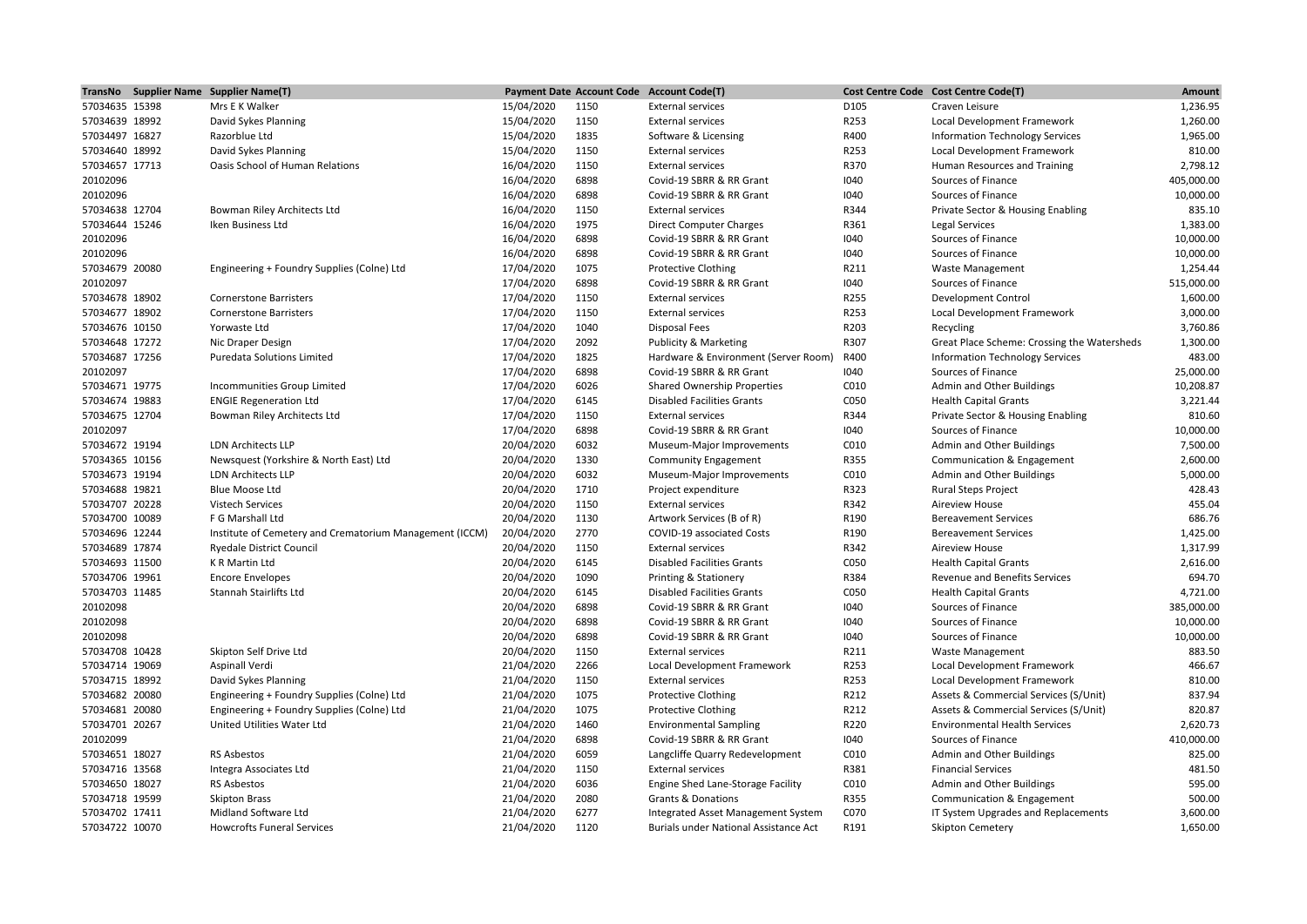|                                  | TransNo Supplier Name Supplier Name(T)                                   |                          |              | Payment Date Account Code Account Code(T)                     |              | Cost Centre Code Cost Centre Code(T)                                          | Amount     |
|----------------------------------|--------------------------------------------------------------------------|--------------------------|--------------|---------------------------------------------------------------|--------------|-------------------------------------------------------------------------------|------------|
| 57034635 15398                   | Mrs E K Walker                                                           | 15/04/2020               | 1150         | <b>External services</b>                                      | D105         | Craven Leisure                                                                | 1,236.95   |
| 57034639 18992                   | David Sykes Planning                                                     | 15/04/2020               | 1150         | <b>External services</b>                                      | R253         | Local Development Framework                                                   | 1,260.00   |
| 57034497 16827                   | Razorblue Ltd                                                            | 15/04/2020               | 1835         | Software & Licensing                                          | R400         | <b>Information Technology Services</b>                                        | 1,965.00   |
| 57034640 18992                   | David Sykes Planning                                                     | 15/04/2020               | 1150         | <b>External services</b>                                      | R253         | Local Development Framework                                                   | 810.00     |
| 57034657 17713                   | Oasis School of Human Relations                                          | 16/04/2020               | 1150         | <b>External services</b>                                      | R370         | Human Resources and Training                                                  | 2,798.12   |
| 20102096                         |                                                                          | 16/04/2020               | 6898         | Covid-19 SBRR & RR Grant                                      | 1040         | Sources of Finance                                                            | 405,000.00 |
| 20102096                         |                                                                          | 16/04/2020               | 6898         | Covid-19 SBRR & RR Grant                                      | 1040         | Sources of Finance                                                            | 10,000.00  |
| 57034638 12704                   | Bowman Riley Architects Ltd                                              | 16/04/2020               | 1150         | <b>External services</b>                                      | R344         | Private Sector & Housing Enabling                                             | 835.10     |
| 57034644 15246                   | Iken Business Ltd                                                        | 16/04/2020               | 1975         | <b>Direct Computer Charges</b>                                | R361         | <b>Legal Services</b>                                                         | 1,383.00   |
| 20102096                         |                                                                          | 16/04/2020               | 6898         | Covid-19 SBRR & RR Grant                                      | 1040         | Sources of Finance                                                            | 10,000.00  |
| 20102096                         |                                                                          | 16/04/2020               | 6898         | Covid-19 SBRR & RR Grant                                      | 1040         | Sources of Finance                                                            | 10,000.00  |
| 57034679 20080                   | Engineering + Foundry Supplies (Colne) Ltd                               | 17/04/2020               | 1075         | <b>Protective Clothing</b>                                    | R211         | Waste Management                                                              | 1,254.44   |
| 20102097                         |                                                                          | 17/04/2020               | 6898         | Covid-19 SBRR & RR Grant                                      | 1040         | Sources of Finance                                                            | 515,000.00 |
| 57034678 18902                   | <b>Cornerstone Barristers</b>                                            | 17/04/2020               | 1150         | <b>External services</b>                                      | R255         | <b>Development Control</b>                                                    | 1,600.00   |
| 57034677 18902                   | <b>Cornerstone Barristers</b>                                            | 17/04/2020               | 1150         | <b>External services</b>                                      | R253         | Local Development Framework                                                   | 3,000.00   |
| 57034676 10150                   | Yorwaste Ltd                                                             | 17/04/2020               | 1040         | <b>Disposal Fees</b>                                          | R203         | Recycling                                                                     | 3,760.86   |
| 57034648 17272                   | Nic Draper Design                                                        | 17/04/2020               | 2092         | Publicity & Marketing                                         | R307         | Great Place Scheme: Crossing the Watersheds                                   | 1,300.00   |
| 57034687 17256                   | <b>Puredata Solutions Limited</b>                                        | 17/04/2020               | 1825         | Hardware & Environment (Server Room)                          | R400         | <b>Information Technology Services</b>                                        | 483.00     |
| 20102097                         |                                                                          | 17/04/2020               | 6898         | Covid-19 SBRR & RR Grant                                      | 1040         | Sources of Finance                                                            | 25,000.00  |
| 57034671 19775                   | Incommunities Group Limited                                              | 17/04/2020               | 6026         | <b>Shared Ownership Properties</b>                            | C010         | Admin and Other Buildings                                                     | 10,208.87  |
| 57034674 19883                   | <b>ENGIE Regeneration Ltd</b>                                            | 17/04/2020               | 6145         | <b>Disabled Facilities Grants</b>                             | C050         | <b>Health Capital Grants</b>                                                  | 3,221.44   |
| 57034675 12704                   | Bowman Riley Architects Ltd                                              | 17/04/2020               | 1150         | <b>External services</b>                                      | R344         | Private Sector & Housing Enabling                                             | 810.60     |
| 20102097                         |                                                                          | 17/04/2020               | 6898         | Covid-19 SBRR & RR Grant                                      | 1040         | Sources of Finance                                                            | 10,000.00  |
| 57034672 19194                   | <b>LDN Architects LLP</b>                                                | 20/04/2020               | 6032         | Museum-Major Improvements                                     | C010         | Admin and Other Buildings                                                     | 7,500.00   |
| 57034365 10156                   | Newsquest (Yorkshire & North East) Ltd                                   | 20/04/2020               | 1330         | <b>Community Engagement</b>                                   | R355         | Communication & Engagement                                                    | 2,600.00   |
| 57034673 19194                   | <b>LDN Architects LLP</b>                                                | 20/04/2020               | 6032         | Museum-Major Improvements                                     | C010         | Admin and Other Buildings                                                     | 5,000.00   |
| 57034688 19821                   | <b>Blue Moose Ltd</b>                                                    | 20/04/2020               | 1710         | Project expenditure                                           | R323         | <b>Rural Steps Project</b>                                                    | 428.43     |
| 57034707 20228                   | <b>Vistech Services</b>                                                  | 20/04/2020               | 1150         | <b>External services</b>                                      | R342         | <b>Aireview House</b>                                                         | 455.04     |
| 57034700 10089                   | F G Marshall Ltd                                                         | 20/04/2020               | 1130         | Artwork Services (B of R)                                     | R190         | <b>Bereavement Services</b>                                                   | 686.76     |
| 57034696 12244                   | Institute of Cemetery and Crematorium Management (ICCM)                  | 20/04/2020               | 2770         | COVID-19 associated Costs                                     | R190         | <b>Bereavement Services</b>                                                   | 1,425.00   |
| 57034689 17874                   | <b>Ryedale District Council</b>                                          | 20/04/2020               | 1150         | <b>External services</b>                                      | R342         | <b>Aireview House</b>                                                         | 1,317.99   |
| 57034693 11500                   | K R Martin Ltd                                                           | 20/04/2020               | 6145         | <b>Disabled Facilities Grants</b>                             | C050         | <b>Health Capital Grants</b>                                                  | 2,616.00   |
| 57034706 19961                   | <b>Encore Envelopes</b>                                                  | 20/04/2020               | 1090         | Printing & Stationery                                         | R384         | Revenue and Benefits Services                                                 | 694.70     |
|                                  | Stannah Stairlifts Ltd                                                   | 20/04/2020               | 6145         |                                                               | C050         |                                                                               | 4,721.00   |
| 57034703 11485<br>20102098       |                                                                          | 20/04/2020               | 6898         | <b>Disabled Facilities Grants</b><br>Covid-19 SBRR & RR Grant | 1040         | <b>Health Capital Grants</b><br>Sources of Finance                            | 385,000.00 |
| 20102098                         |                                                                          | 20/04/2020               | 6898         | Covid-19 SBRR & RR Grant                                      | 1040         | Sources of Finance                                                            | 10,000.00  |
| 20102098                         |                                                                          |                          | 6898         | Covid-19 SBRR & RR Grant                                      |              | Sources of Finance                                                            | 10,000.00  |
| 57034708 10428                   | Skipton Self Drive Ltd                                                   | 20/04/2020<br>20/04/2020 | 1150         |                                                               | 1040<br>R211 |                                                                               | 883.50     |
| 57034714 19069                   |                                                                          | 21/04/2020               | 2266         | <b>External services</b>                                      | R253         | <b>Waste Management</b>                                                       | 466.67     |
|                                  | Aspinall Verdi                                                           |                          |              | Local Development Framework                                   |              | Local Development Framework                                                   | 810.00     |
| 57034715 18992                   | David Sykes Planning                                                     | 21/04/2020               | 1150         | <b>External services</b>                                      | R253         | Local Development Framework                                                   | 837.94     |
| 57034682 20080                   | Engineering + Foundry Supplies (Colne) Ltd                               | 21/04/2020               | 1075<br>1075 | <b>Protective Clothing</b>                                    | R212<br>R212 | Assets & Commercial Services (S/Unit)                                         | 820.87     |
| 57034681 20080<br>57034701 20267 | Engineering + Foundry Supplies (Colne) Ltd<br>United Utilities Water Ltd | 21/04/2020               | 1460         | <b>Protective Clothing</b>                                    | R220         | Assets & Commercial Services (S/Unit)<br><b>Environmental Health Services</b> | 2,620.73   |
|                                  |                                                                          | 21/04/2020               |              | <b>Environmental Sampling</b>                                 |              |                                                                               |            |
| 20102099                         |                                                                          | 21/04/2020               | 6898         | Covid-19 SBRR & RR Grant                                      | 1040         | Sources of Finance                                                            | 410,000.00 |
| 57034651 18027                   | <b>RS Asbestos</b>                                                       | 21/04/2020               | 6059         | Langcliffe Quarry Redevelopment                               | C010         | Admin and Other Buildings                                                     | 825.00     |
| 57034716 13568                   | Integra Associates Ltd                                                   | 21/04/2020               | 1150         | <b>External services</b>                                      | R381         | <b>Financial Services</b>                                                     | 481.50     |
| 57034650 18027                   | RS Asbestos                                                              | 21/04/2020               | 6036         | Engine Shed Lane-Storage Facility                             | C010         | Admin and Other Buildings                                                     | 595.00     |
| 57034718 19599                   | <b>Skipton Brass</b>                                                     | 21/04/2020               | 2080         | <b>Grants &amp; Donations</b>                                 | R355         | Communication & Engagement                                                    | 500.00     |
| 57034702 17411                   | Midland Software Ltd                                                     | 21/04/2020               | 6277         | Integrated Asset Management System                            | C070         | IT System Upgrades and Replacements                                           | 3,600.00   |
| 57034722 10070                   | <b>Howcrofts Funeral Services</b>                                        | 21/04/2020               | 1120         | Burials under National Assistance Act                         | R191         | Skipton Cemetery                                                              | 1,650.00   |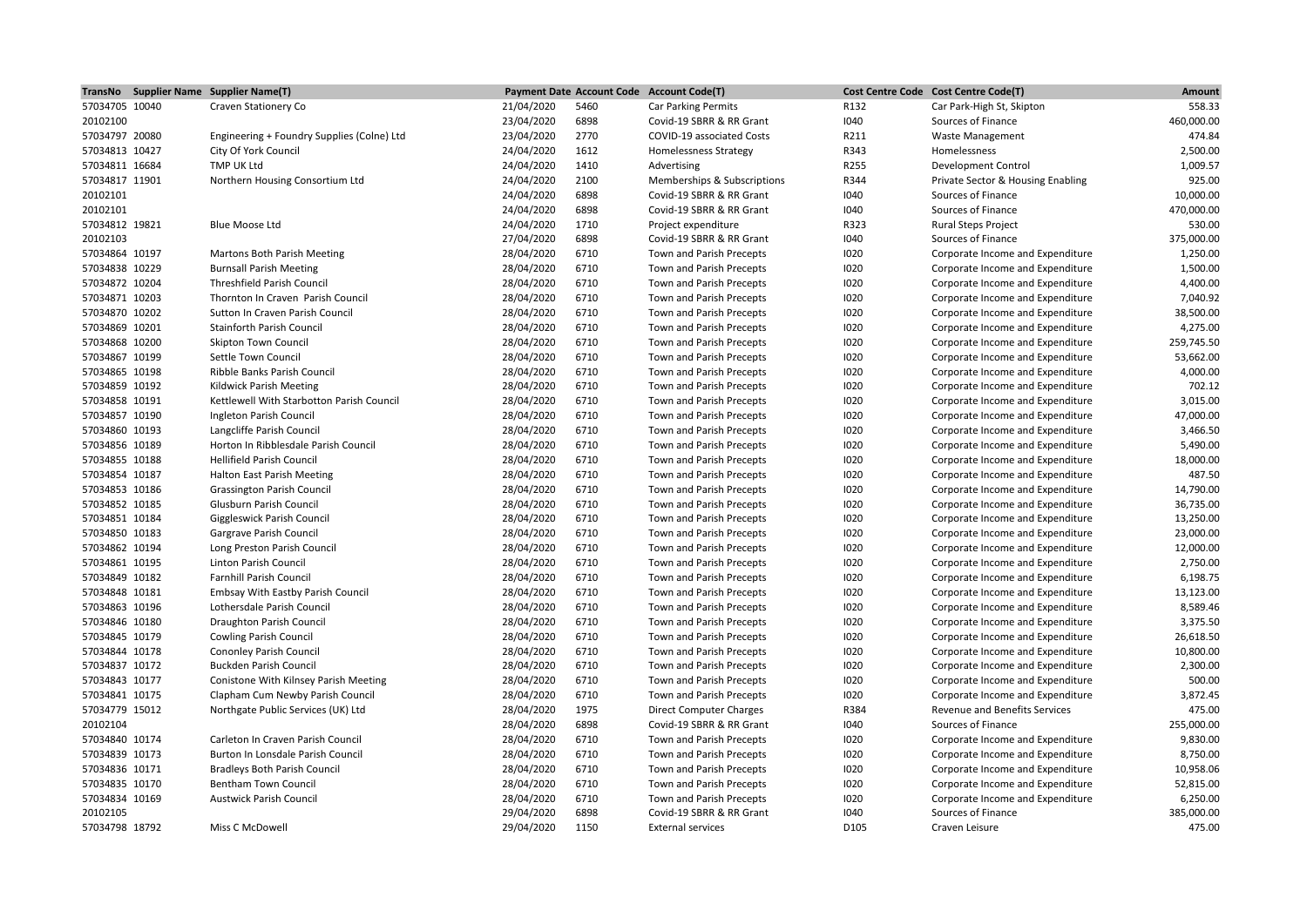|                                  | TransNo Supplier Name Supplier Name(T)     |            |              | Payment Date Account Code Account Code(T) |              | Cost Centre Code Cost Centre Code(T) | <b>Amount</b>          |
|----------------------------------|--------------------------------------------|------------|--------------|-------------------------------------------|--------------|--------------------------------------|------------------------|
| 57034705 10040                   | Craven Stationery Co                       | 21/04/2020 | 5460         | <b>Car Parking Permits</b>                | R132         | Car Park-High St, Skipton            | 558.33                 |
| 20102100                         |                                            | 23/04/2020 | 6898         | Covid-19 SBRR & RR Grant                  | 1040         | Sources of Finance                   | 460,000.00             |
| 57034797 20080                   | Engineering + Foundry Supplies (Colne) Ltd | 23/04/2020 | 2770         | COVID-19 associated Costs                 | R211         | <b>Waste Management</b>              | 474.84                 |
| 57034813 10427                   | City Of York Council                       | 24/04/2020 | 1612         | <b>Homelessness Strategy</b>              | R343         | Homelessness                         | 2,500.00               |
| 57034811 16684                   | TMP UK Ltd                                 | 24/04/2020 | 1410         | Advertising                               | R255         | <b>Development Control</b>           | 1,009.57               |
| 57034817 11901                   | Northern Housing Consortium Ltd            | 24/04/2020 | 2100         | Memberships & Subscriptions               | R344         | Private Sector & Housing Enabling    | 925.00                 |
| 20102101                         |                                            | 24/04/2020 | 6898         | Covid-19 SBRR & RR Grant                  | 1040         | Sources of Finance                   | 10,000.00              |
| 20102101                         |                                            | 24/04/2020 | 6898         | Covid-19 SBRR & RR Grant                  | 1040         | Sources of Finance                   | 470,000.00             |
| 57034812 19821                   | Blue Moose Ltd                             | 24/04/2020 | 1710         | Project expenditure                       | R323         | Rural Steps Project                  | 530.00                 |
| 20102103                         |                                            | 27/04/2020 | 6898         | Covid-19 SBRR & RR Grant                  | 1040         | Sources of Finance                   | 375,000.00             |
| 57034864 10197                   | Martons Both Parish Meeting                | 28/04/2020 | 6710         | Town and Parish Precepts                  | 1020         | Corporate Income and Expenditure     | 1,250.00               |
| 57034838 10229                   | <b>Burnsall Parish Meeting</b>             | 28/04/2020 | 6710         | Town and Parish Precepts                  | 1020         | Corporate Income and Expenditure     | 1,500.00               |
| 57034872 10204                   | <b>Threshfield Parish Council</b>          | 28/04/2020 | 6710         | Town and Parish Precepts                  | 1020         | Corporate Income and Expenditure     | 4,400.00               |
| 57034871 10203                   | Thornton In Craven Parish Council          | 28/04/2020 | 6710         | Town and Parish Precepts                  | 1020         | Corporate Income and Expenditure     | 7,040.92               |
| 57034870 10202                   | Sutton In Craven Parish Council            | 28/04/2020 | 6710         | Town and Parish Precepts                  | 1020         | Corporate Income and Expenditure     | 38,500.00              |
| 57034869 10201                   | <b>Stainforth Parish Council</b>           | 28/04/2020 | 6710         | Town and Parish Precepts                  | 1020         | Corporate Income and Expenditure     | 4,275.00               |
| 57034868 10200                   | <b>Skipton Town Council</b>                | 28/04/2020 | 6710         | Town and Parish Precepts                  | 1020         | Corporate Income and Expenditure     | 259,745.50             |
| 57034867 10199                   | Settle Town Council                        | 28/04/2020 | 6710         | Town and Parish Precepts                  | 1020         | Corporate Income and Expenditure     | 53,662.00              |
| 57034865 10198                   | Ribble Banks Parish Council                | 28/04/2020 | 6710         | Town and Parish Precepts                  | 1020         | Corporate Income and Expenditure     | 4,000.00               |
| 57034859 10192                   | Kildwick Parish Meeting                    | 28/04/2020 | 6710         | Town and Parish Precepts                  | 1020         | Corporate Income and Expenditure     | 702.12                 |
| 57034858 10191                   | Kettlewell With Starbotton Parish Council  | 28/04/2020 | 6710         | Town and Parish Precepts                  | 1020         | Corporate Income and Expenditure     | 3,015.00               |
| 57034857 10190                   | Ingleton Parish Council                    | 28/04/2020 | 6710         | Town and Parish Precepts                  | 1020         | Corporate Income and Expenditure     | 47,000.00              |
| 57034860 10193                   | Langcliffe Parish Council                  | 28/04/2020 | 6710         | Town and Parish Precepts                  | 1020         | Corporate Income and Expenditure     | 3,466.50               |
| 57034856 10189                   | Horton In Ribblesdale Parish Council       | 28/04/2020 | 6710         | Town and Parish Precepts                  | 1020         | Corporate Income and Expenditure     | 5,490.00               |
| 57034855 10188                   | Hellifield Parish Council                  | 28/04/2020 | 6710         | Town and Parish Precepts                  | 1020         | Corporate Income and Expenditure     | 18,000.00              |
| 57034854 10187                   | Halton East Parish Meeting                 | 28/04/2020 | 6710         | Town and Parish Precepts                  | 1020         | Corporate Income and Expenditure     | 487.50                 |
| 57034853 10186                   |                                            |            | 6710         |                                           | 1020         |                                      | 14,790.00              |
|                                  | Grassington Parish Council                 | 28/04/2020 |              | Town and Parish Precepts                  |              | Corporate Income and Expenditure     |                        |
| 57034852 10185<br>57034851 10184 | Glusburn Parish Council                    | 28/04/2020 | 6710<br>6710 | Town and Parish Precepts                  | 1020<br>1020 | Corporate Income and Expenditure     | 36,735.00<br>13,250.00 |
|                                  | Giggleswick Parish Council                 | 28/04/2020 |              | Town and Parish Precepts                  |              | Corporate Income and Expenditure     |                        |
| 57034850 10183                   | Gargrave Parish Council                    | 28/04/2020 | 6710         | Town and Parish Precepts                  | 1020         | Corporate Income and Expenditure     | 23,000.00              |
| 57034862 10194                   | Long Preston Parish Council                | 28/04/2020 | 6710         | Town and Parish Precepts                  | 1020         | Corporate Income and Expenditure     | 12,000.00              |
| 57034861 10195                   | Linton Parish Council                      | 28/04/2020 | 6710         | Town and Parish Precepts                  | 1020         | Corporate Income and Expenditure     | 2,750.00               |
| 57034849 10182                   | <b>Farnhill Parish Council</b>             | 28/04/2020 | 6710         | Town and Parish Precepts                  | 1020         | Corporate Income and Expenditure     | 6,198.75               |
| 57034848 10181                   | <b>Embsay With Eastby Parish Council</b>   | 28/04/2020 | 6710         | Town and Parish Precepts                  | 1020         | Corporate Income and Expenditure     | 13,123.00              |
| 57034863 10196                   | Lothersdale Parish Council                 | 28/04/2020 | 6710         | Town and Parish Precepts                  | 1020         | Corporate Income and Expenditure     | 8,589.46               |
| 57034846 10180                   | Draughton Parish Council                   | 28/04/2020 | 6710         | Town and Parish Precepts                  | 1020         | Corporate Income and Expenditure     | 3,375.50               |
| 57034845 10179                   | <b>Cowling Parish Council</b>              | 28/04/2020 | 6710         | Town and Parish Precepts                  | 1020         | Corporate Income and Expenditure     | 26,618.50              |
| 57034844 10178                   | <b>Cononley Parish Council</b>             | 28/04/2020 | 6710         | Town and Parish Precepts                  | 1020         | Corporate Income and Expenditure     | 10,800.00              |
| 57034837 10172                   | <b>Buckden Parish Council</b>              | 28/04/2020 | 6710         | Town and Parish Precepts                  | 1020         | Corporate Income and Expenditure     | 2,300.00               |
| 57034843 10177                   | Conistone With Kilnsey Parish Meeting      | 28/04/2020 | 6710         | Town and Parish Precepts                  | 1020         | Corporate Income and Expenditure     | 500.00                 |
| 57034841 10175                   | Clapham Cum Newby Parish Council           | 28/04/2020 | 6710         | Town and Parish Precepts                  | 1020         | Corporate Income and Expenditure     | 3,872.45               |
| 57034779 15012                   | Northgate Public Services (UK) Ltd         | 28/04/2020 | 1975         | <b>Direct Computer Charges</b>            | R384         | <b>Revenue and Benefits Services</b> | 475.00                 |
| 20102104                         |                                            | 28/04/2020 | 6898         | Covid-19 SBRR & RR Grant                  | 1040         | Sources of Finance                   | 255,000.00             |
| 57034840 10174                   | Carleton In Craven Parish Council          | 28/04/2020 | 6710         | Town and Parish Precepts                  | 1020         | Corporate Income and Expenditure     | 9,830.00               |
| 57034839 10173                   | Burton In Lonsdale Parish Council          | 28/04/2020 | 6710         | Town and Parish Precepts                  | 1020         | Corporate Income and Expenditure     | 8,750.00               |
| 57034836 10171                   | <b>Bradleys Both Parish Council</b>        | 28/04/2020 | 6710         | Town and Parish Precepts                  | 1020         | Corporate Income and Expenditure     | 10,958.06              |
| 57034835 10170                   | <b>Bentham Town Council</b>                | 28/04/2020 | 6710         | Town and Parish Precepts                  | 1020         | Corporate Income and Expenditure     | 52,815.00              |
| 57034834 10169                   | <b>Austwick Parish Council</b>             | 28/04/2020 | 6710         | Town and Parish Precepts                  | 1020         | Corporate Income and Expenditure     | 6,250.00               |
| 20102105                         |                                            | 29/04/2020 | 6898         | Covid-19 SBRR & RR Grant                  | 1040         | Sources of Finance                   | 385.000.00             |
| 57034798 18792                   | Miss C McDowell                            | 29/04/2020 | 1150         | <b>External services</b>                  | D105         | Craven Leisure                       | 475.00                 |